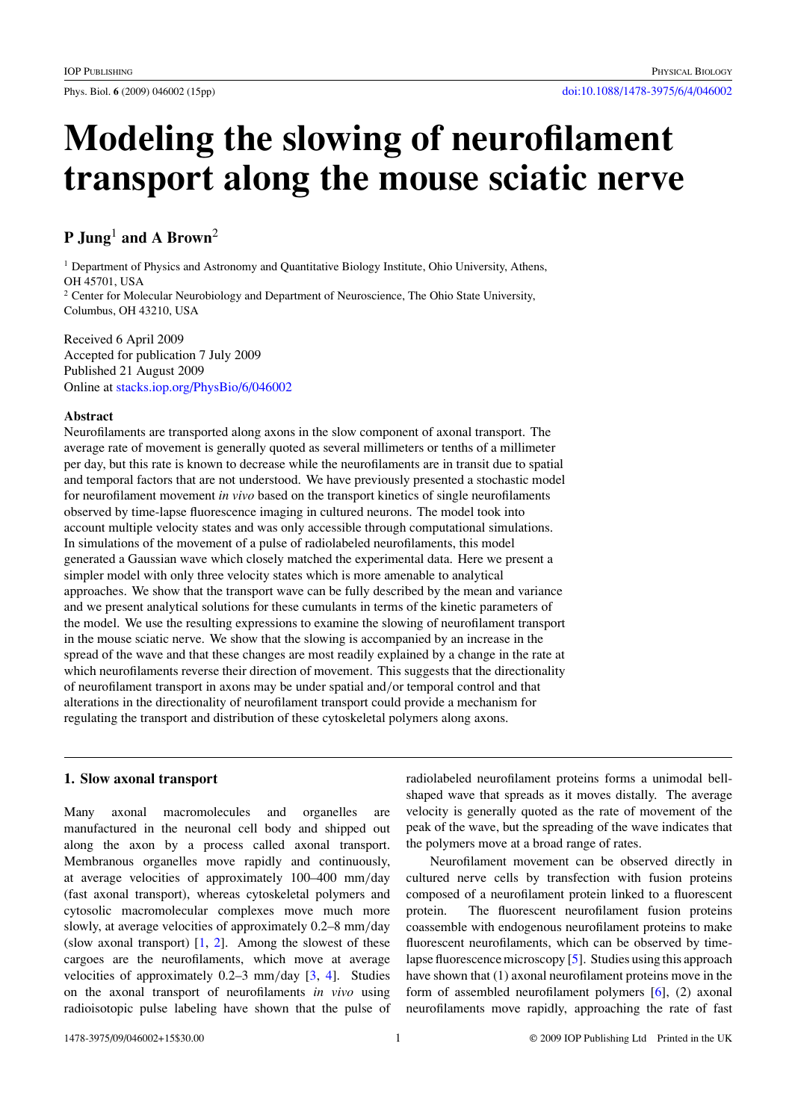# **Modeling the slowing of neurofilament transport along the mouse sciatic nerve**

## **P Jung**<sup>1</sup> **and A Brown**<sup>2</sup>

<sup>1</sup> Department of Physics and Astronomy and Quantitative Biology Institute, Ohio University, Athens, OH 45701, USA <sup>2</sup> Center for Molecular Neurobiology and Department of Neuroscience, The Ohio State University, Columbus, OH 43210, USA

Received 6 April 2009 Accepted for publication 7 July 2009 Published 21 August 2009 Online at [stacks.iop.org/PhysBio/6/046002](http://stacks.iop.org/PhysBio/6/046002)

## **Abstract**

Neurofilaments are transported along axons in the slow component of axonal transport. The average rate of movement is generally quoted as several millimeters or tenths of a millimeter per day, but this rate is known to decrease while the neurofilaments are in transit due to spatial and temporal factors that are not understood. We have previously presented a stochastic model for neurofilament movement *in vivo* based on the transport kinetics of single neurofilaments observed by time-lapse fluorescence imaging in cultured neurons. The model took into account multiple velocity states and was only accessible through computational simulations. In simulations of the movement of a pulse of radiolabeled neurofilaments, this model generated a Gaussian wave which closely matched the experimental data. Here we present a simpler model with only three velocity states which is more amenable to analytical approaches. We show that the transport wave can be fully described by the mean and variance and we present analytical solutions for these cumulants in terms of the kinetic parameters of the model. We use the resulting expressions to examine the slowing of neurofilament transport in the mouse sciatic nerve. We show that the slowing is accompanied by an increase in the spread of the wave and that these changes are most readily explained by a change in the rate at which neurofilaments reverse their direction of movement. This suggests that the directionality of neurofilament transport in axons may be under spatial and*/*or temporal control and that alterations in the directionality of neurofilament transport could provide a mechanism for regulating the transport and distribution of these cytoskeletal polymers along axons.

## **1. Slow axonal transport**

Many axonal macromolecules and organelles are manufactured in the neuronal cell body and shipped out along the axon by a process called axonal transport. Membranous organelles move rapidly and continuously, at average velocities of approximately 100–400 mm*/*day (fast axonal transport), whereas cytoskeletal polymers and cytosolic macromolecular complexes move much more slowly, at average velocities of approximately 0.2–8 mm*/*day (slow axonal transport)  $[1, 2]$  $[1, 2]$  $[1, 2]$ . Among the slowest of these cargoes are the neurofilaments, which move at average velocities of approximately 0.2–3 mm*/*day [\[3,](#page-13-0) [4\]](#page-13-0). Studies on the axonal transport of neurofilaments *in vivo* using radioisotopic pulse labeling have shown that the pulse of radiolabeled neurofilament proteins forms a unimodal bellshaped wave that spreads as it moves distally. The average velocity is generally quoted as the rate of movement of the peak of the wave, but the spreading of the wave indicates that the polymers move at a broad range of rates.

Neurofilament movement can be observed directly in cultured nerve cells by transfection with fusion proteins composed of a neurofilament protein linked to a fluorescent protein. The fluorescent neurofilament fusion proteins coassemble with endogenous neurofilament proteins to make fluorescent neurofilaments, which can be observed by timelapse fluorescence microscopy [\[5\]](#page-13-0). Studies using this approach have shown that (1) axonal neurofilament proteins move in the form of assembled neurofilament polymers [\[6\]](#page-14-0), (2) axonal neurofilaments move rapidly, approaching the rate of fast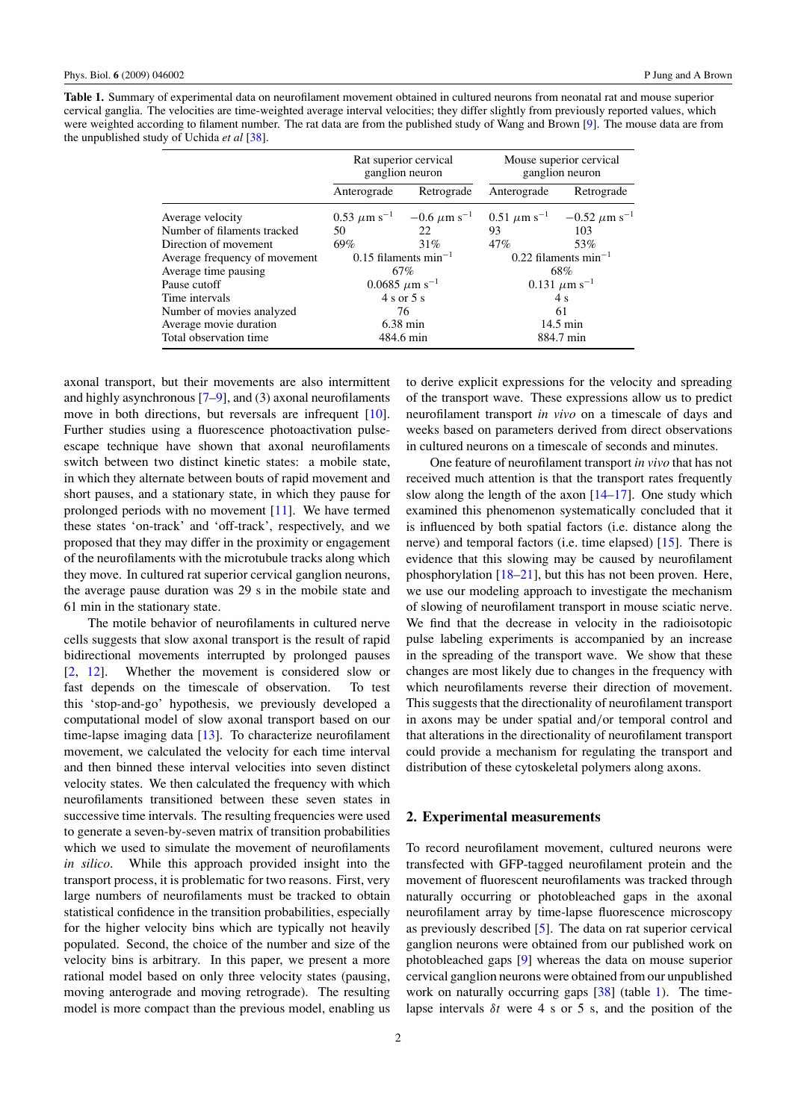<span id="page-1-0"></span>**Table 1.** Summary of experimental data on neurofilament movement obtained in cultured neurons from neonatal rat and mouse superior cervical ganglia. The velocities are time-weighted average interval velocities; they differ slightly from previously reported values, which were weighted according to filament number. The rat data are from the published study of Wang and Brown [\[9](#page-14-0)]. The mouse data are from the unpublished study of Uchida *et al* [\[38\]](#page-14-0).

|                               | Rat superior cervical<br>ganglion neuron |                                           | Mouse superior cervical<br>ganglion neuron |                                            |
|-------------------------------|------------------------------------------|-------------------------------------------|--------------------------------------------|--------------------------------------------|
|                               | Anterograde                              | Retrograde                                | Anterograde                                | Retrograde                                 |
| Average velocity              |                                          | $0.53 \ \mu m s^{-1}$ -0.6 $\mu m s^{-1}$ |                                            | $0.51 \ \mu m s^{-1}$ -0.52 $\mu m s^{-1}$ |
| Number of filaments tracked   | 50                                       | 22                                        | 93                                         | 103                                        |
| Direction of movement         | $69\%$                                   | 31%                                       | 47%                                        | 53%                                        |
| Average frequency of movement | $0.15$ filaments min <sup>-1</sup>       |                                           | $0.22$ filaments min <sup>-1</sup>         |                                            |
| Average time pausing          | 67%                                      |                                           | 68%                                        |                                            |
| Pause cutoff                  | $0.0685 \ \mu m s^{-1}$                  |                                           | 0.131 $\mu$ m s <sup>-1</sup>              |                                            |
| Time intervals                | $4 s$ or $5 s$                           |                                           | 4s                                         |                                            |
| Number of movies analyzed     | 76                                       |                                           | 61                                         |                                            |
| Average movie duration        | $6.38 \text{ min}$                       |                                           | $14.5 \text{ min}$                         |                                            |
| Total observation time        | 484.6 min                                |                                           | 884.7 min                                  |                                            |

axonal transport, but their movements are also intermittent and highly asynchronous  $[7-9]$ , and (3) axonal neurofilaments move in both directions, but reversals are infrequent [\[10](#page-14-0)]. Further studies using a fluorescence photoactivation pulseescape technique have shown that axonal neurofilaments switch between two distinct kinetic states: a mobile state, in which they alternate between bouts of rapid movement and short pauses, and a stationary state, in which they pause for prolonged periods with no movement [\[11](#page-14-0)]. We have termed these states 'on-track' and 'off-track', respectively, and we proposed that they may differ in the proximity or engagement of the neurofilaments with the microtubule tracks along which they move. In cultured rat superior cervical ganglion neurons, the average pause duration was 29 s in the mobile state and 61 min in the stationary state.

The motile behavior of neurofilaments in cultured nerve cells suggests that slow axonal transport is the result of rapid bidirectional movements interrupted by prolonged pauses [\[2](#page-13-0), [12](#page-14-0)]. Whether the movement is considered slow or fast depends on the timescale of observation. To test this 'stop-and-go' hypothesis, we previously developed a computational model of slow axonal transport based on our time-lapse imaging data [\[13\]](#page-14-0). To characterize neurofilament movement, we calculated the velocity for each time interval and then binned these interval velocities into seven distinct velocity states. We then calculated the frequency with which neurofilaments transitioned between these seven states in successive time intervals. The resulting frequencies were used to generate a seven-by-seven matrix of transition probabilities which we used to simulate the movement of neurofilaments *in silico*. While this approach provided insight into the transport process, it is problematic for two reasons. First, very large numbers of neurofilaments must be tracked to obtain statistical confidence in the transition probabilities, especially for the higher velocity bins which are typically not heavily populated. Second, the choice of the number and size of the velocity bins is arbitrary. In this paper, we present a more rational model based on only three velocity states (pausing, moving anterograde and moving retrograde). The resulting model is more compact than the previous model, enabling us to derive explicit expressions for the velocity and spreading of the transport wave. These expressions allow us to predict neurofilament transport *in vivo* on a timescale of days and weeks based on parameters derived from direct observations in cultured neurons on a timescale of seconds and minutes.

One feature of neurofilament transport *in vivo* that has not received much attention is that the transport rates frequently slow along the length of the axon  $[14–17]$  $[14–17]$ . One study which examined this phenomenon systematically concluded that it is influenced by both spatial factors (i.e. distance along the nerve) and temporal factors (i.e. time elapsed) [\[15\]](#page-14-0). There is evidence that this slowing may be caused by neurofilament phosphorylation [\[18–21\]](#page-14-0), but this has not been proven. Here, we use our modeling approach to investigate the mechanism of slowing of neurofilament transport in mouse sciatic nerve. We find that the decrease in velocity in the radioisotopic pulse labeling experiments is accompanied by an increase in the spreading of the transport wave. We show that these changes are most likely due to changes in the frequency with which neurofilaments reverse their direction of movement. This suggests that the directionality of neurofilament transport in axons may be under spatial and*/*or temporal control and that alterations in the directionality of neurofilament transport could provide a mechanism for regulating the transport and distribution of these cytoskeletal polymers along axons.

### **2. Experimental measurements**

To record neurofilament movement, cultured neurons were transfected with GFP-tagged neurofilament protein and the movement of fluorescent neurofilaments was tracked through naturally occurring or photobleached gaps in the axonal neurofilament array by time-lapse fluorescence microscopy as previously described [\[5\]](#page-13-0). The data on rat superior cervical ganglion neurons were obtained from our published work on photobleached gaps [\[9\]](#page-14-0) whereas the data on mouse superior cervical ganglion neurons were obtained from our unpublished work on naturally occurring gaps [\[38](#page-14-0)] (table 1). The timelapse intervals *δt* were 4 s or 5 s, and the position of the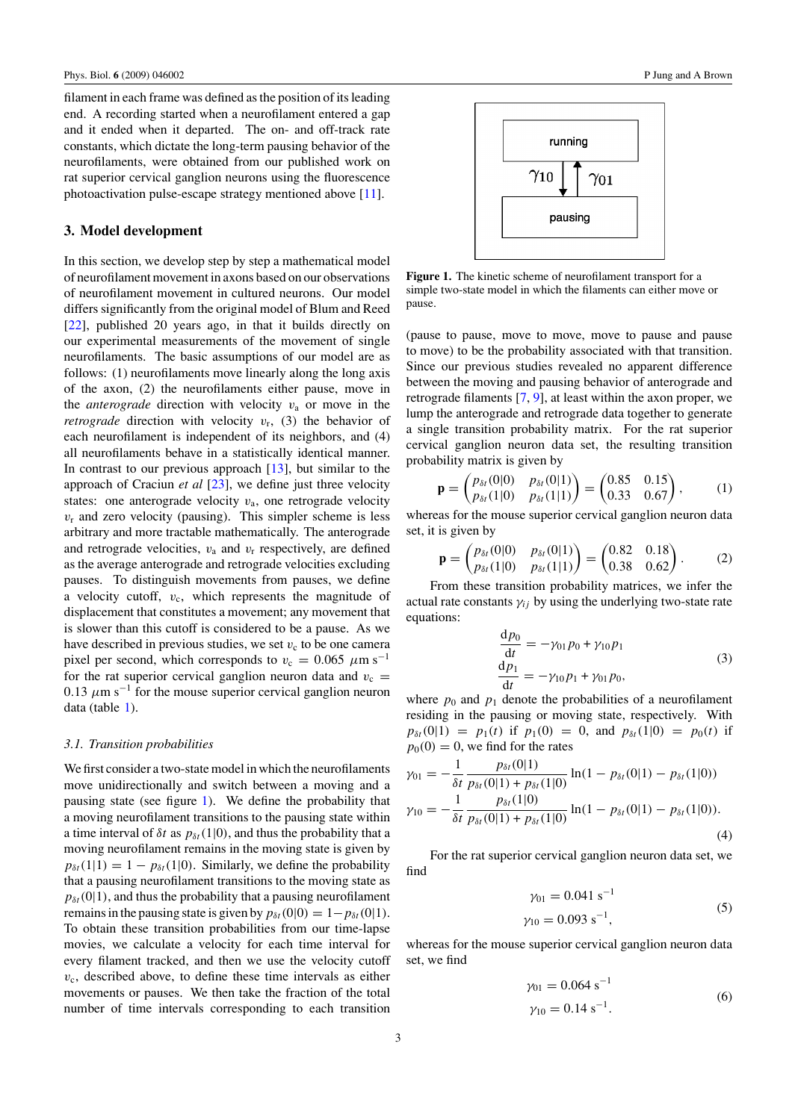<span id="page-2-0"></span>filament in each frame was defined as the position of its leading end. A recording started when a neurofilament entered a gap and it ended when it departed. The on- and off-track rate constants, which dictate the long-term pausing behavior of the neurofilaments, were obtained from our published work on rat superior cervical ganglion neurons using the fluorescence photoactivation pulse-escape strategy mentioned above [\[11](#page-14-0)].

## **3. Model development**

In this section, we develop step by step a mathematical model of neurofilament movement in axons based on our observations of neurofilament movement in cultured neurons. Our model differs significantly from the original model of Blum and Reed [\[22](#page-14-0)], published 20 years ago, in that it builds directly on our experimental measurements of the movement of single neurofilaments. The basic assumptions of our model are as follows: (1) neurofilaments move linearly along the long axis of the axon, (2) the neurofilaments either pause, move in the *anterograde* direction with velocity  $v_a$  or move in the *retrograde* direction with velocity  $v_r$ , (3) the behavior of each neurofilament is independent of its neighbors, and (4) all neurofilaments behave in a statistically identical manner. In contrast to our previous approach  $[13]$  $[13]$ , but similar to the approach of Craciun *et al* [\[23\]](#page-14-0), we define just three velocity states: one anterograde velocity  $v_a$ , one retrograde velocity  $v_r$  and zero velocity (pausing). This simpler scheme is less arbitrary and more tractable mathematically. The anterograde and retrograde velocities,  $v_a$  and  $v_r$  respectively, are defined as the average anterograde and retrograde velocities excluding pauses. To distinguish movements from pauses, we define a velocity cutoff,  $v_c$ , which represents the magnitude of displacement that constitutes a movement; any movement that is slower than this cutoff is considered to be a pause. As we have described in previous studies, we set  $v_c$  to be one camera pixel per second, which corresponds to  $v_c = 0.065$   $\mu$ m s<sup>-1</sup> for the rat superior cervical ganglion neuron data and  $v_c$  = 0.13  $\mu$ m s<sup>-1</sup> for the mouse superior cervical ganglion neuron data (table [1\)](#page-1-0).

#### *3.1. Transition probabilities*

We first consider a two-state model in which the neurofilaments move unidirectionally and switch between a moving and a pausing state (see figure 1). We define the probability that a moving neurofilament transitions to the pausing state within a time interval of  $\delta t$  as  $p_{\delta t}(1|0)$ , and thus the probability that a moving neurofilament remains in the moving state is given by  $p_{\delta t}(1|1) = 1 - p_{\delta t}(1|0)$ . Similarly, we define the probability that a pausing neurofilament transitions to the moving state as  $p_{\delta t}(0|1)$ , and thus the probability that a pausing neurofilament remains in the pausing state is given by  $p_{\delta t}(0|0) = 1 - p_{\delta t}(0|1)$ . To obtain these transition probabilities from our time-lapse movies, we calculate a velocity for each time interval for every filament tracked, and then we use the velocity cutoff  $v<sub>c</sub>$ , described above, to define these time intervals as either movements or pauses. We then take the fraction of the total number of time intervals corresponding to each transition



**Figure 1.** The kinetic scheme of neurofilament transport for a simple two-state model in which the filaments can either move or pause.

(pause to pause, move to move, move to pause and pause to move) to be the probability associated with that transition. Since our previous studies revealed no apparent difference between the moving and pausing behavior of anterograde and retrograde filaments [\[7,](#page-14-0) [9\]](#page-14-0), at least within the axon proper, we lump the anterograde and retrograde data together to generate a single transition probability matrix. For the rat superior cervical ganglion neuron data set, the resulting transition probability matrix is given by

$$
\mathbf{p} = \begin{pmatrix} p_{\delta t}(0|0) & p_{\delta t}(0|1) \\ p_{\delta t}(1|0) & p_{\delta t}(1|1) \end{pmatrix} = \begin{pmatrix} 0.85 & 0.15 \\ 0.33 & 0.67 \end{pmatrix}, \quad (1)
$$

whereas for the mouse superior cervical ganglion neuron data set, it is given by

$$
\mathbf{p} = \begin{pmatrix} p_{\delta t}(0|0) & p_{\delta t}(0|1) \\ p_{\delta t}(1|0) & p_{\delta t}(1|1) \end{pmatrix} = \begin{pmatrix} 0.82 & 0.18 \\ 0.38 & 0.62 \end{pmatrix}.
$$
 (2)

From these transition probability matrices, we infer the actual rate constants  $\gamma_{ij}$  by using the underlying two-state rate equations:

$$
\frac{dp_0}{dt} = -\gamma_{01}p_0 + \gamma_{10}p_1
$$
  
\n
$$
\frac{dp_1}{dt} = -\gamma_{10}p_1 + \gamma_{01}p_0,
$$
\n(3)

where  $p_0$  and  $p_1$  denote the probabilities of a neurofilament residing in the pausing or moving state, respectively. With  $p_{\delta t}(0|1) = p_1(t)$  if  $p_1(0) = 0$ , and  $p_{\delta t}(1|0) = p_0(t)$  if  $p_0(0) = 0$ , we find for the rates

$$
\gamma_{01} = -\frac{1}{\delta t} \frac{p_{\delta t}(0|1)}{p_{\delta t}(0|1) + p_{\delta t}(1|0)} \ln(1 - p_{\delta t}(0|1) - p_{\delta t}(1|0))
$$
  

$$
\gamma_{10} = -\frac{1}{\delta t} \frac{p_{\delta t}(1|0)}{p_{\delta t}(0|1) + p_{\delta t}(1|0)} \ln(1 - p_{\delta t}(0|1) - p_{\delta t}(1|0)).
$$
  
(4)

For the rat superior cervical ganglion neuron data set, we find

$$
\gamma_{01} = 0.041 \,\mathrm{s}^{-1} \n\gamma_{10} = 0.093 \,\mathrm{s}^{-1},
$$
\n(5)

whereas for the mouse superior cervical ganglion neuron data set, we find

$$
\gamma_{01} = 0.064 \, \text{s}^{-1} \n\gamma_{10} = 0.14 \, \text{s}^{-1}.
$$
\n(6)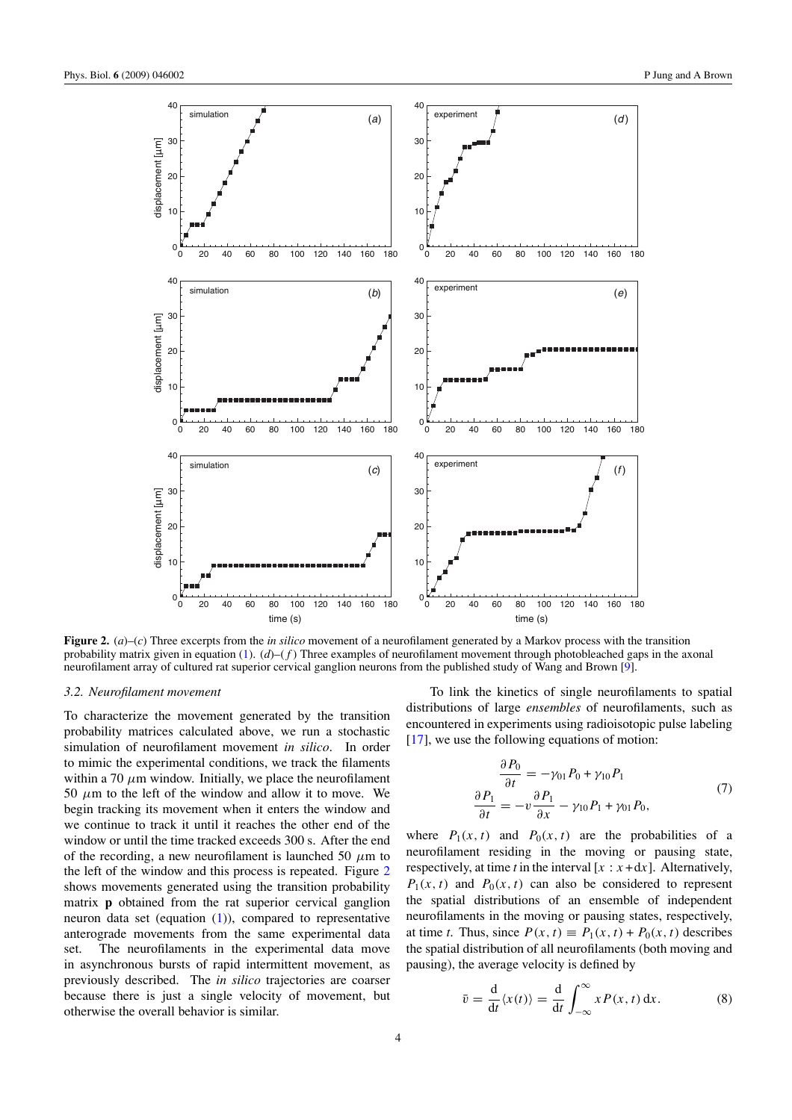<span id="page-3-0"></span>

**Figure 2.** (*a*)–(*c*) Three excerpts from the *in silico* movement of a neurofilament generated by a Markov process with the transition probability matrix given in equation  $(1)$ .  $(d)$ – $(f)$  Three examples of neurofilament movement through photobleached gaps in the axonal neurofilament array of cultured rat superior cervical ganglion neurons from the published study of Wang and Brown [\[9\]](#page-14-0).

#### *3.2. Neurofilament movement*

To characterize the movement generated by the transition probability matrices calculated above, we run a stochastic simulation of neurofilament movement *in silico*. In order to mimic the experimental conditions, we track the filaments within a 70  $\mu$ m window. Initially, we place the neurofilament 50  $\mu$ m to the left of the window and allow it to move. We begin tracking its movement when it enters the window and we continue to track it until it reaches the other end of the window or until the time tracked exceeds 300 s. After the end of the recording, a new neurofilament is launched 50 *μ*m to the left of the window and this process is repeated. Figure 2 shows movements generated using the transition probability matrix **p** obtained from the rat superior cervical ganglion neuron data set (equation [\(1\)](#page-2-0)), compared to representative anterograde movements from the same experimental data set. The neurofilaments in the experimental data move in asynchronous bursts of rapid intermittent movement, as previously described. The *in silico* trajectories are coarser because there is just a single velocity of movement, but otherwise the overall behavior is similar.

To link the kinetics of single neurofilaments to spatial distributions of large *ensembles* of neurofilaments, such as encountered in experiments using radioisotopic pulse labeling [\[17](#page-14-0)], we use the following equations of motion:

$$
\frac{\partial P_0}{\partial t} = -\gamma_{01} P_0 + \gamma_{10} P_1
$$
  

$$
\frac{\partial P_1}{\partial t} = -\nu \frac{\partial P_1}{\partial x} - \gamma_{10} P_1 + \gamma_{01} P_0,
$$
 (7)

where  $P_1(x, t)$  and  $P_0(x, t)$  are the probabilities of a neurofilament residing in the moving or pausing state, respectively, at time *t* in the interval  $[x : x + dx]$ . Alternatively,  $P_1(x, t)$  and  $P_0(x, t)$  can also be considered to represent the spatial distributions of an ensemble of independent neurofilaments in the moving or pausing states, respectively, at time *t*. Thus, since  $P(x, t) \equiv P_1(x, t) + P_0(x, t)$  describes the spatial distribution of all neurofilaments (both moving and pausing), the average velocity is defined by

$$
\bar{v} = \frac{d}{dt} \langle x(t) \rangle = \frac{d}{dt} \int_{-\infty}^{\infty} x P(x, t) \, dx. \tag{8}
$$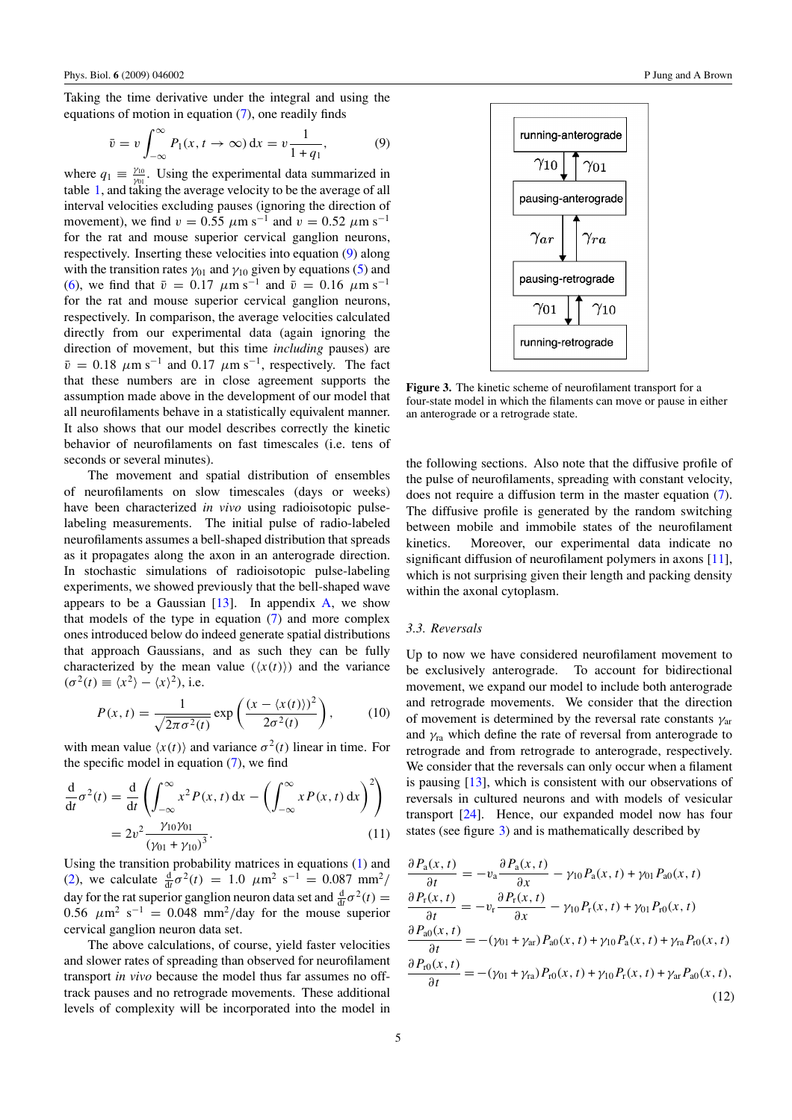<span id="page-4-0"></span>Taking the time derivative under the integral and using the equations of motion in equation [\(7\)](#page-3-0), one readily finds

$$
\bar{v} = v \int_{-\infty}^{\infty} P_1(x, t \to \infty) dx = v \frac{1}{1 + q_1}, \tag{9}
$$

where  $q_1 \equiv \frac{y_{10}}{y_{01}}$ . Using the experimental data summarized in table [1,](#page-1-0) and taking the average velocity to be the average of all interval velocities excluding pauses (ignoring the direction of movement), we find  $v = 0.55 \ \mu \text{m s}^{-1}$  and  $v = 0.52 \ \mu \text{m s}^{-1}$ for the rat and mouse superior cervical ganglion neurons, respectively. Inserting these velocities into equation (9) along with the transition rates  $\gamma_{01}$  and  $\gamma_{10}$  given by equations [\(5\)](#page-2-0) and [\(6\)](#page-2-0), we find that  $\bar{v} = 0.17 \ \mu \text{m s}^{-1}$  and  $\bar{v} = 0.16 \ \mu \text{m s}^{-1}$ for the rat and mouse superior cervical ganglion neurons, respectively. In comparison, the average velocities calculated directly from our experimental data (again ignoring the direction of movement, but this time *including* pauses) are  $\bar{v} = 0.18$   $\mu$ m s<sup>-1</sup> and 0.17  $\mu$ m s<sup>-1</sup>, respectively. The fact that these numbers are in close agreement supports the assumption made above in the development of our model that all neurofilaments behave in a statistically equivalent manner. It also shows that our model describes correctly the kinetic behavior of neurofilaments on fast timescales (i.e. tens of seconds or several minutes).

The movement and spatial distribution of ensembles of neurofilaments on slow timescales (days or weeks) have been characterized *in vivo* using radioisotopic pulselabeling measurements. The initial pulse of radio-labeled neurofilaments assumes a bell-shaped distribution that spreads as it propagates along the axon in an anterograde direction. In stochastic simulations of radioisotopic pulse-labeling experiments, we showed previously that the bell-shaped wave appears to be a Gaussian  $[13]$  $[13]$ . In appendix [A,](#page-10-0) we show that models of the type in equation [\(7\)](#page-3-0) and more complex ones introduced below do indeed generate spatial distributions that approach Gaussians, and as such they can be fully characterized by the mean value  $(\langle x(t) \rangle)$  and the variance  $(\sigma^2(t) \equiv \langle x^2 \rangle - \langle x \rangle^2)$ , i.e.

$$
P(x,t) = \frac{1}{\sqrt{2\pi\sigma^2(t)}} \exp\left(\frac{(x - \langle x(t) \rangle)^2}{2\sigma^2(t)}\right),\tag{10}
$$

with mean value  $\langle x(t) \rangle$  and variance  $\sigma^2(t)$  linear in time. For the specific model in equation [\(7\)](#page-3-0), we find

$$
\frac{d}{dt}\sigma^2(t) = \frac{d}{dt}\left(\int_{-\infty}^{\infty} x^2 P(x, t) dx - \left(\int_{-\infty}^{\infty} x P(x, t) dx\right)^2\right)
$$

$$
= 2v^2 \frac{\gamma_{10}\gamma_{01}}{(\gamma_{01} + \gamma_{10})^3}.
$$
(11)

Using the transition probability matrices in equations [\(1\)](#page-2-0) and [\(2\)](#page-2-0), we calculate  $\frac{d}{dt}\sigma^2(t) = 1.0 \mu m^2 s^{-1} = 0.087 \text{ mm}^2$ / day for the rat superior ganglion neuron data set and  $\frac{d}{dt}\sigma^2(t) =$ 0.56  $\mu$ m<sup>2</sup> s<sup>-1</sup> = 0.048 mm<sup>2</sup>/day for the mouse superior cervical ganglion neuron data set.

The above calculations, of course, yield faster velocities and slower rates of spreading than observed for neurofilament transport *in vivo* because the model thus far assumes no offtrack pauses and no retrograde movements. These additional levels of complexity will be incorporated into the model in



**Figure 3.** The kinetic scheme of neurofilament transport for a four-state model in which the filaments can move or pause in either an anterograde or a retrograde state.

the following sections. Also note that the diffusive profile of the pulse of neurofilaments, spreading with constant velocity, does not require a diffusion term in the master equation [\(7\)](#page-3-0). The diffusive profile is generated by the random switching between mobile and immobile states of the neurofilament kinetics. Moreover, our experimental data indicate no significant diffusion of neurofilament polymers in axons [\[11](#page-14-0)], which is not surprising given their length and packing density within the axonal cytoplasm.

#### *3.3. Reversals*

Up to now we have considered neurofilament movement to be exclusively anterograde. To account for bidirectional movement, we expand our model to include both anterograde and retrograde movements. We consider that the direction of movement is determined by the reversal rate constants *γ*ar and  $\gamma_{ra}$  which define the rate of reversal from anterograde to retrograde and from retrograde to anterograde, respectively. We consider that the reversals can only occur when a filament is pausing [\[13](#page-14-0)], which is consistent with our observations of reversals in cultured neurons and with models of vesicular transport [\[24](#page-14-0)]. Hence, our expanded model now has four states (see figure 3) and is mathematically described by

$$
\frac{\partial P_{\rm a}(x,t)}{\partial t} = -v_{\rm a} \frac{\partial P_{\rm a}(x,t)}{\partial x} - \gamma_{10} P_{\rm a}(x,t) + \gamma_{01} P_{\rm a0}(x,t) \n\frac{\partial P_{\rm r}(x,t)}{\partial t} = -v_{\rm r} \frac{\partial P_{\rm r}(x,t)}{\partial x} - \gamma_{10} P_{\rm r}(x,t) + \gamma_{01} P_{\rm r0}(x,t) \n\frac{\partial P_{\rm a0}(x,t)}{\partial t} = -(\gamma_{01} + \gamma_{\rm ar}) P_{\rm a0}(x,t) + \gamma_{10} P_{\rm a}(x,t) + \gamma_{\rm ra} P_{\rm r0}(x,t) \n\frac{\partial P_{\rm r0}(x,t)}{\partial t} = -(\gamma_{01} + \gamma_{\rm ra}) P_{\rm r0}(x,t) + \gamma_{10} P_{\rm r}(x,t) + \gamma_{\rm ar} P_{\rm a0}(x,t),
$$
\n(12)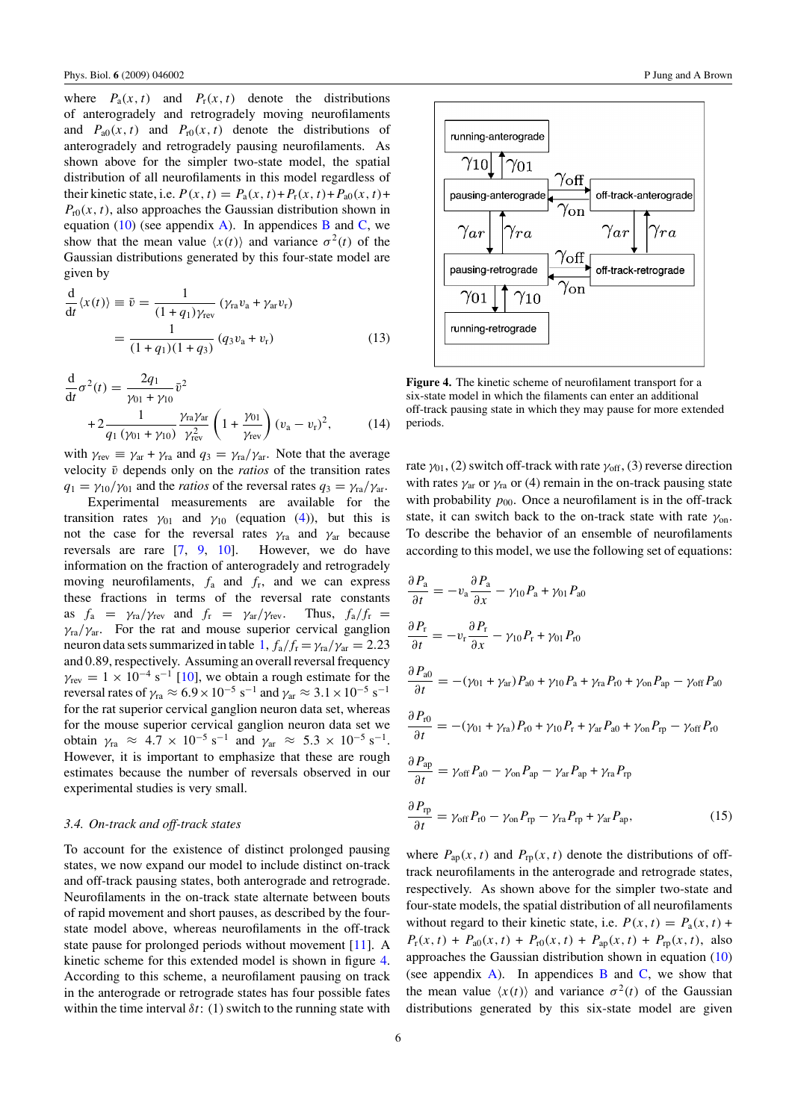<span id="page-5-0"></span>where  $P_a(x, t)$  and  $P_r(x, t)$  denote the distributions of anterogradely and retrogradely moving neurofilaments and  $P_{a0}(x, t)$  and  $P_{r0}(x, t)$  denote the distributions of anterogradely and retrogradely pausing neurofilaments. As shown above for the simpler two-state model, the spatial distribution of all neurofilaments in this model regardless of their kinetic state, i.e.  $P(x, t) = P_a(x, t) + P_r(x, t) + P_{a0}(x, t) +$  $P_{r0}(x, t)$ , also approaches the Gaussian distribution shown in equation [\(10\)](#page-4-0) (see appendix [A\)](#page-10-0). In appendices  $\overline{B}$  $\overline{B}$  $\overline{B}$  and  $\overline{C}$ , we show that the mean value  $\langle x(t) \rangle$  and variance  $\sigma^2(t)$  of the Gaussian distributions generated by this four-state model are given by

$$
\frac{d}{dt} \langle x(t) \rangle \equiv \bar{v} = \frac{1}{(1+q_1)\gamma_{rev}} (\gamma_{ra} v_a + \gamma_{ar} v_r)
$$

$$
= \frac{1}{(1+q_1)(1+q_3)} (q_3 v_a + v_r)
$$
(13)

$$
\frac{d}{dt}\sigma^{2}(t) = \frac{2q_{1}}{\gamma_{01} + \gamma_{10}}\bar{v}^{2} + 2\frac{1}{q_{1}(\gamma_{01} + \gamma_{10})}\frac{\gamma_{\text{ra}}\gamma_{\text{ar}}}{\gamma_{\text{rev}}^{2}}\left(1 + \frac{\gamma_{01}}{\gamma_{\text{rev}}}\right)(v_{\text{a}} - v_{\text{r}})^{2}, \qquad (14)
$$

with  $\gamma_{\rm rev} \equiv \gamma_{\rm ar} + \gamma_{\rm ra}$  and  $q_3 = \gamma_{\rm ra}/\gamma_{\rm ar}$ . Note that the average velocity  $\bar{v}$  depends only on the *ratios* of the transition rates  $q_1 = \gamma_{10}/\gamma_{01}$  and the *ratios* of the reversal rates  $q_3 = \gamma_{\text{ra}}/\gamma_{\text{ar}}$ .

Experimental measurements are available for the transition rates  $\gamma_{01}$  and  $\gamma_{10}$  (equation [\(4\)](#page-2-0)), but this is not the case for the reversal rates  $\gamma_{\text{ra}}$  and  $\gamma_{\text{ar}}$  because reversals are rare [\[7,](#page-14-0) [9](#page-14-0), [10](#page-14-0)]. However, we do have information on the fraction of anterogradely and retrogradely moving neurofilaments,  $f_a$  and  $f_r$ , and we can express these fractions in terms of the reversal rate constants as  $f_a = \gamma_{ra}/\gamma_{rev}$  and  $f_r = \gamma_{ar}/\gamma_{rev}$ . Thus,  $f_a/f_r =$ *γ*ra*/γ*ar. For the rat and mouse superior cervical ganglion neuron data sets summarized in table [1,](#page-1-0)  $f_a/f_r = \gamma_{ra}/\gamma_{ar} = 2.23$ and 0*.*89, respectively. Assuming an overall reversal frequency  $\gamma_{\text{rev}} = 1 \times 10^{-4} \text{ s}^{-1}$  [\[10\]](#page-14-0), we obtain a rough estimate for the reversal rates of  $\gamma_{\text{ra}} \approx 6.9 \times 10^{-5} \text{ s}^{-1}$  and  $\gamma_{\text{ar}} \approx 3.1 \times 10^{-5} \text{ s}^{-1}$ for the rat superior cervical ganglion neuron data set, whereas for the mouse superior cervical ganglion neuron data set we obtain  $\gamma_{\text{ra}} \approx 4.7 \times 10^{-5} \text{ s}^{-1}$  and  $\gamma_{\text{ar}} \approx 5.3 \times 10^{-5} \text{ s}^{-1}$ . However, it is important to emphasize that these are rough estimates because the number of reversals observed in our experimental studies is very small.

## *3.4. On-track and off-track states*

To account for the existence of distinct prolonged pausing states, we now expand our model to include distinct on-track and off-track pausing states, both anterograde and retrograde. Neurofilaments in the on-track state alternate between bouts of rapid movement and short pauses, as described by the fourstate model above, whereas neurofilaments in the off-track state pause for prolonged periods without movement [\[11\]](#page-14-0). A kinetic scheme for this extended model is shown in figure 4. According to this scheme, a neurofilament pausing on track in the anterograde or retrograde states has four possible fates within the time interval  $\delta t$ : (1) switch to the running state with



**Figure 4.** The kinetic scheme of neurofilament transport for a six-state model in which the filaments can enter an additional off-track pausing state in which they may pause for more extended periods.

rate  $\gamma_{01}$ , (2) switch off-track with rate  $\gamma_{\text{off}}$ , (3) reverse direction with rates  $\gamma_{ar}$  or  $\gamma_{ra}$  or (4) remain in the on-track pausing state with probability  $p_{00}$ . Once a neurofilament is in the off-track state, it can switch back to the on-track state with rate  $\gamma_{\text{on}}$ . To describe the behavior of an ensemble of neurofilaments according to this model, we use the following set of equations:

$$
\frac{\partial P_a}{\partial t} = -v_a \frac{\partial P_a}{\partial x} - \gamma_{10} P_a + \gamma_{01} P_{a0}
$$
\n
$$
\frac{\partial P_r}{\partial t} = -v_r \frac{\partial P_r}{\partial x} - \gamma_{10} P_r + \gamma_{01} P_{r0}
$$
\n
$$
\frac{\partial P_{a0}}{\partial t} = -(\gamma_{01} + \gamma_{ar}) P_{a0} + \gamma_{10} P_a + \gamma_{ra} P_{r0} + \gamma_{on} P_{ap} - \gamma_{off} P_{a0}
$$
\n
$$
\frac{\partial P_{r0}}{\partial t} = -(\gamma_{01} + \gamma_{ra}) P_{r0} + \gamma_{10} P_r + \gamma_{ar} P_{a0} + \gamma_{on} P_{rp} - \gamma_{off} P_{r0}
$$
\n
$$
\frac{\partial P_{ap}}{\partial t} = \gamma_{off} P_{a0} - \gamma_{on} P_{ap} - \gamma_{ar} P_{ap} + \gamma_{ra} P_{rp}
$$
\n
$$
\frac{\partial P_{rp}}{\partial t} = \gamma_{off} P_{r0} - \gamma_{on} P_{rp} - \gamma_{ra} P_{rp} + \gamma_{ar} P_{ap}, \qquad (15)
$$

where  $P_{ap}(x, t)$  and  $P_{rp}(x, t)$  denote the distributions of offtrack neurofilaments in the anterograde and retrograde states, respectively. As shown above for the simpler two-state and four-state models, the spatial distribution of all neurofilaments without regard to their kinetic state, i.e.  $P(x, t) = P_a(x, t) +$  $P_r(x, t) + P_{a0}(x, t) + P_{r0}(x, t) + P_{ap}(x, t) + P_{rp}(x, t)$ , also approaches the Gaussian distribution shown in equation [\(10\)](#page-4-0) (see appendix  $\bf{A}$ ). In appendices  $\bf{B}$  $\bf{B}$  $\bf{B}$  and  $\bf{C}$ , we show that the mean value  $\langle x(t) \rangle$  and variance  $\sigma^2(t)$  of the Gaussian distributions generated by this six-state model are given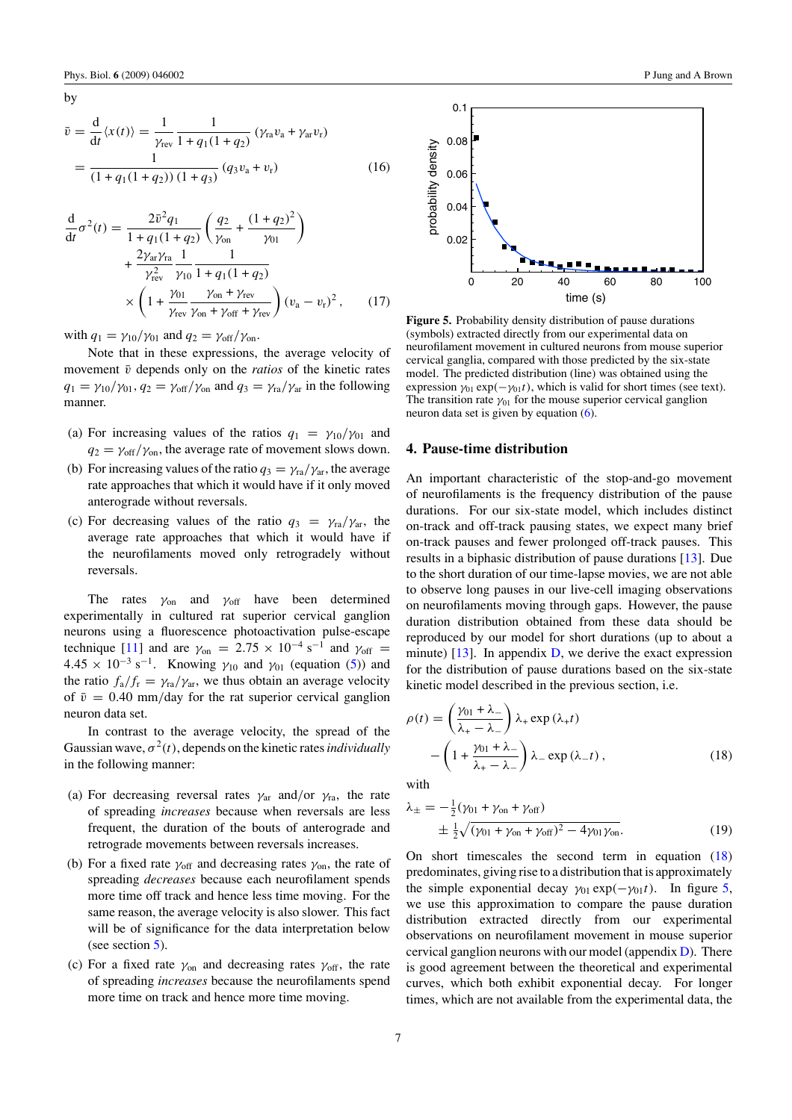<span id="page-6-0"></span>by

$$
\bar{v} = \frac{d}{dt} \langle x(t) \rangle = \frac{1}{\gamma_{rev}} \frac{1}{1 + q_1 (1 + q_2)} \left( \gamma_{ra} v_a + \gamma_{ar} v_r \right)
$$
  
= 
$$
\frac{1}{(1 + q_1 (1 + q_2)) (1 + q_3)} (q_3 v_a + v_r)
$$
(16)

$$
\frac{d}{dt}\sigma^{2}(t) = \frac{2\bar{v}^{2}q_{1}}{1+q_{1}(1+q_{2})}\left(\frac{q_{2}}{\gamma_{\text{on}}} + \frac{(1+q_{2})^{2}}{\gamma_{01}}\right) + \frac{2\gamma_{\text{ar}}\gamma_{\text{ra}}}{\gamma_{\text{rev}}^{2}}\frac{1}{\gamma_{10}}\frac{1}{1+q_{1}(1+q_{2})} \times \left(1+\frac{\gamma_{01}}{\gamma_{\text{rev}}}\frac{\gamma_{\text{on}}+\gamma_{\text{rev}}}{\gamma_{\text{on}}+\gamma_{\text{off}}+\gamma_{\text{rev}}}\right)(v_{\text{a}}-v_{\text{r}})^{2}, \quad (17)
$$

with  $q_1 = \gamma_{10}/\gamma_{01}$  and  $q_2 = \gamma_{\text{off}}/\gamma_{\text{on}}$ .

Note that in these expressions, the average velocity of movement  $\bar{v}$  depends only on the *ratios* of the kinetic rates  $q_1 = \gamma_{10}/\gamma_{01}$ ,  $q_2 = \gamma_{\text{off}}/\gamma_{\text{on}}$  and  $q_3 = \gamma_{\text{ra}}/\gamma_{\text{ar}}$  in the following manner.

- (a) For increasing values of the ratios  $q_1 = \gamma_{10}/\gamma_{01}$  and  $q_2 = \gamma_{\text{off}}/\gamma_{\text{on}}$ , the average rate of movement slows down.
- (b) For increasing values of the ratio  $q_3 = \gamma_{\text{ra}}/\gamma_{\text{ar}}$ , the average rate approaches that which it would have if it only moved anterograde without reversals.
- (c) For decreasing values of the ratio  $q_3 = \gamma_{\text{ra}}/\gamma_{\text{ar}}$ , the average rate approaches that which it would have if the neurofilaments moved only retrogradely without reversals.

The rates  $\gamma_{on}$  and  $\gamma_{off}$  have been determined experimentally in cultured rat superior cervical ganglion neurons using a fluorescence photoactivation pulse-escape technique [\[11](#page-14-0)] and are  $\gamma_{on} = 2.75 \times 10^{-4} \text{ s}^{-1}$  and  $\gamma_{off} =$ <sup>4</sup>*.*<sup>45</sup> <sup>×</sup> <sup>10</sup>−<sup>3</sup> <sup>s</sup>−1. Knowing *<sup>γ</sup>*<sup>10</sup> and *<sup>γ</sup>*<sup>01</sup> (equation [\(5\)](#page-2-0)) and the ratio  $f_a/f_r = \gamma_{ra}/\gamma_{ar}$ , we thus obtain an average velocity of  $\bar{v} = 0.40$  mm/day for the rat superior cervical ganglion neuron data set.

In contrast to the average velocity, the spread of the Gaussian wave,  $\sigma^2(t)$ , depends on the kinetic rates *individually* in the following manner:

- (a) For decreasing reversal rates  $\gamma_{ar}$  and/or  $\gamma_{ra}$ , the rate of spreading *increases* because when reversals are less frequent, the duration of the bouts of anterograde and retrograde movements between reversals increases.
- (b) For a fixed rate  $\gamma_{\text{off}}$  and decreasing rates  $\gamma_{\text{on}}$ , the rate of spreading *decreases* because each neurofilament spends more time off track and hence less time moving. For the same reason, the average velocity is also slower. This fact will be of significance for the data interpretation below (see section [5\)](#page-7-0).
- (c) For a fixed rate  $\gamma_{on}$  and decreasing rates  $\gamma_{off}$ , the rate of spreading *increases* because the neurofilaments spend more time on track and hence more time moving.



**Figure 5.** Probability density distribution of pause durations (symbols) extracted directly from our experimental data on neurofilament movement in cultured neurons from mouse superior cervical ganglia, compared with those predicted by the six-state model. The predicted distribution (line) was obtained using the expression  $\gamma_{01}$  exp( $-\gamma_{01}t$ ), which is valid for short times (see text). The transition rate  $\gamma_{01}$  for the mouse superior cervical ganglion neuron data set is given by equation [\(6\)](#page-2-0).

## **4. Pause-time distribution**

An important characteristic of the stop-and-go movement of neurofilaments is the frequency distribution of the pause durations. For our six-state model, which includes distinct on-track and off-track pausing states, we expect many brief on-track pauses and fewer prolonged off-track pauses. This results in a biphasic distribution of pause durations [\[13](#page-14-0)]. Due to the short duration of our time-lapse movies, we are not able to observe long pauses in our live-cell imaging observations on neurofilaments moving through gaps. However, the pause duration distribution obtained from these data should be reproduced by our model for short durations (up to about a minute) [\[13](#page-14-0)]. In appendix [D,](#page-12-0) we derive the exact expression for the distribution of pause durations based on the six-state kinetic model described in the previous section, i.e.

$$
\rho(t) = \left(\frac{\gamma_{01} + \lambda_{-}}{\lambda_{+} - \lambda_{-}}\right) \lambda_{+} \exp\left(\lambda_{+}t\right) - \left(1 + \frac{\gamma_{01} + \lambda_{-}}{\lambda_{+} - \lambda_{-}}\right) \lambda_{-} \exp\left(\lambda_{-}t\right),
$$
(18)

with

$$
\lambda_{\pm} = -\frac{1}{2}(\gamma_{01} + \gamma_{\text{on}} + \gamma_{\text{off}})
$$
  
 
$$
\pm \frac{1}{2}\sqrt{(\gamma_{01} + \gamma_{\text{on}} + \gamma_{\text{off}})^2 - 4\gamma_{01}\gamma_{\text{on}}}.
$$
 (19)

On short timescales the second term in equation (18) predominates, giving rise to a distribution that is approximately the simple exponential decay  $\gamma_{01} \exp(-\gamma_{01}t)$ . In figure 5, we use this approximation to compare the pause duration distribution extracted directly from our experimental observations on neurofilament movement in mouse superior cervical ganglion neurons with our model (appendix [D\)](#page-12-0). There is good agreement between the theoretical and experimental curves, which both exhibit exponential decay. For longer times, which are not available from the experimental data, the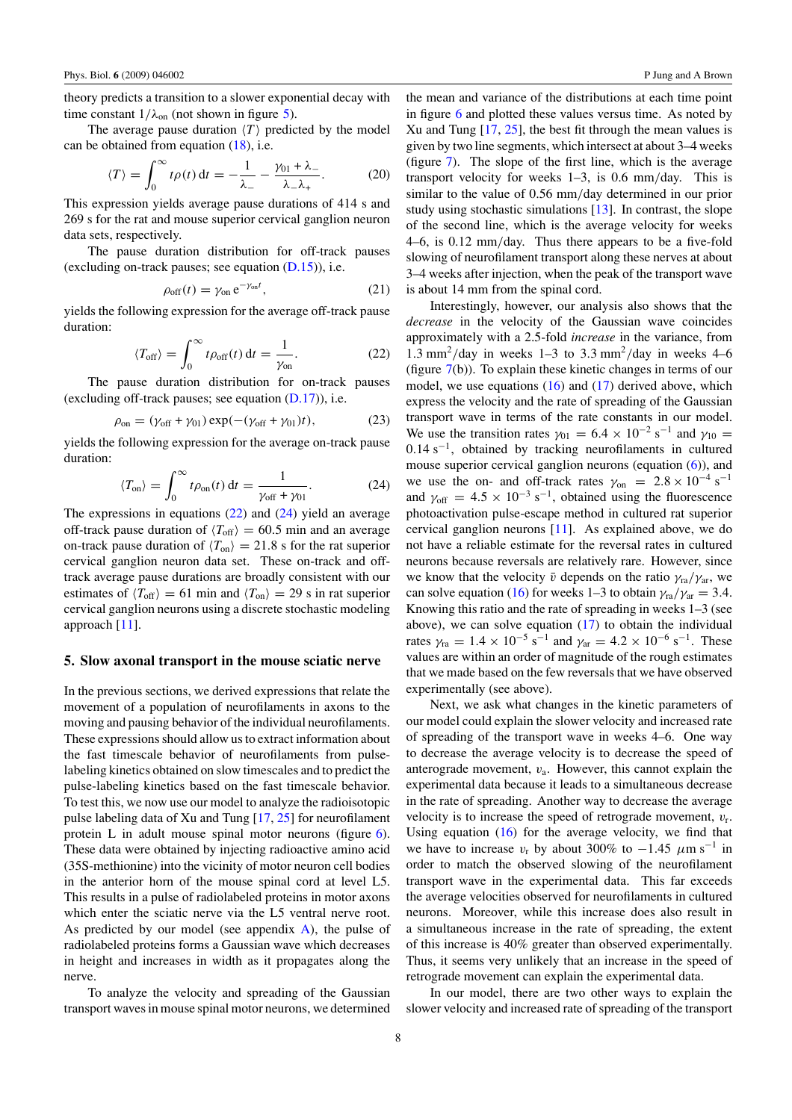<span id="page-7-0"></span>theory predicts a transition to a slower exponential decay with time constant  $1/\lambda_{on}$  (not shown in figure [5\)](#page-6-0).

The average pause duration  $\langle T \rangle$  predicted by the model can be obtained from equation [\(18\)](#page-6-0), i.e.

$$
\langle T \rangle = \int_0^\infty t \rho(t) \, \mathrm{d}t = -\frac{1}{\lambda_-} - \frac{\gamma_{01} + \lambda_-}{\lambda_- \lambda_+}.\tag{20}
$$

This expression yields average pause durations of 414 s and 269 s for the rat and mouse superior cervical ganglion neuron data sets, respectively.

The pause duration distribution for off-track pauses (excluding on-track pauses; see equation  $(D.15)$ ), i.e.

$$
\rho_{\text{off}}(t) = \gamma_{\text{on}} e^{-\gamma_{\text{on}}t},\tag{21}
$$

yields the following expression for the average off-track pause duration:

$$
\langle T_{\text{off}} \rangle = \int_0^\infty t \rho_{\text{off}}(t) \, \mathrm{d}t = \frac{1}{\gamma_{\text{on}}}.\tag{22}
$$

The pause duration distribution for on-track pauses (excluding off-track pauses; see equation  $(D.17)$ ), i.e.

$$
\rho_{\text{on}} = (\gamma_{\text{off}} + \gamma_{01}) \exp(-(\gamma_{\text{off}} + \gamma_{01})t), \tag{23}
$$

yields the following expression for the average on-track pause duration:

$$
\langle T_{\text{on}} \rangle = \int_0^\infty t \rho_{\text{on}}(t) \, \mathrm{d}t = \frac{1}{\gamma_{\text{off}} + \gamma_{01}}.\tag{24}
$$

The expressions in equations  $(22)$  and  $(24)$  yield an average off-track pause duration of  $\langle T_{\text{off}} \rangle = 60.5$  min and an average on-track pause duration of  $\langle T_{on} \rangle = 21.8$  s for the rat superior cervical ganglion neuron data set. These on-track and offtrack average pause durations are broadly consistent with our estimates of  $\langle T_{\text{off}} \rangle = 61$  min and  $\langle T_{\text{on}} \rangle = 29$  s in rat superior cervical ganglion neurons using a discrete stochastic modeling approach [\[11](#page-14-0)].

## **5. Slow axonal transport in the mouse sciatic nerve**

In the previous sections, we derived expressions that relate the movement of a population of neurofilaments in axons to the moving and pausing behavior of the individual neurofilaments. These expressions should allow us to extract information about the fast timescale behavior of neurofilaments from pulselabeling kinetics obtained on slow timescales and to predict the pulse-labeling kinetics based on the fast timescale behavior. To test this, we now use our model to analyze the radioisotopic pulse labeling data of Xu and Tung [\[17](#page-14-0), [25](#page-14-0)] for neurofilament protein L in adult mouse spinal motor neurons (figure [6\)](#page-8-0). These data were obtained by injecting radioactive amino acid (35S-methionine) into the vicinity of motor neuron cell bodies in the anterior horn of the mouse spinal cord at level L5. This results in a pulse of radiolabeled proteins in motor axons which enter the sciatic nerve via the L5 ventral nerve root. As predicted by our model (see appendix  $\overrightarrow{A}$ ), the pulse of radiolabeled proteins forms a Gaussian wave which decreases in height and increases in width as it propagates along the nerve.

To analyze the velocity and spreading of the Gaussian transport waves in mouse spinal motor neurons, we determined

the mean and variance of the distributions at each time point in figure [6](#page-8-0) and plotted these values versus time. As noted by Xu and Tung [\[17,](#page-14-0) [25](#page-14-0)], the best fit through the mean values is given by two line segments, which intersect at about 3–4 weeks (figure [7\)](#page-9-0). The slope of the first line, which is the average transport velocity for weeks 1–3, is 0.6 mm*/*day. This is similar to the value of 0.56 mm*/*day determined in our prior study using stochastic simulations [\[13](#page-14-0)]. In contrast, the slope of the second line, which is the average velocity for weeks 4–6, is 0.12 mm*/*day. Thus there appears to be a five-fold slowing of neurofilament transport along these nerves at about 3–4 weeks after injection, when the peak of the transport wave is about 14 mm from the spinal cord.

Interestingly, however, our analysis also shows that the *decrease* in the velocity of the Gaussian wave coincides approximately with a 2.5-fold *increase* in the variance, from 1.3 mm<sup>2</sup>/day in weeks 1–3 to 3.3 mm<sup>2</sup>/day in weeks 4–6 (figure [7\(](#page-9-0)b)). To explain these kinetic changes in terms of our model, we use equations  $(16)$  and  $(17)$  derived above, which express the velocity and the rate of spreading of the Gaussian transport wave in terms of the rate constants in our model. We use the transition rates  $\gamma_{01} = 6.4 \times 10^{-2} \text{ s}^{-1}$  and  $\gamma_{10} =$ 0*.*14 s−1, obtained by tracking neurofilaments in cultured mouse superior cervical ganglion neurons (equation  $(6)$ ), and we use the on- and off-track rates  $\gamma_{on} = 2.8 \times 10^{-4} \text{ s}^{-1}$ and  $\gamma_{\text{off}} = 4.5 \times 10^{-3} \text{ s}^{-1}$ , obtained using the fluorescence photoactivation pulse-escape method in cultured rat superior cervical ganglion neurons [\[11\]](#page-14-0). As explained above, we do not have a reliable estimate for the reversal rates in cultured neurons because reversals are relatively rare. However, since we know that the velocity  $\bar{v}$  depends on the ratio  $\gamma_{ra}/\gamma_{ar}$ , we can solve equation [\(16\)](#page-6-0) for weeks 1–3 to obtain  $\gamma_{\text{ra}}/\gamma_{\text{ar}} = 3.4$ . Knowing this ratio and the rate of spreading in weeks 1–3 (see above), we can solve equation  $(17)$  to obtain the individual rates  $\gamma_{\text{ra}} = 1.4 \times 10^{-5} \text{ s}^{-1}$  and  $\gamma_{\text{ar}} = 4.2 \times 10^{-6} \text{ s}^{-1}$ . These values are within an order of magnitude of the rough estimates that we made based on the few reversals that we have observed experimentally (see above).

Next, we ask what changes in the kinetic parameters of our model could explain the slower velocity and increased rate of spreading of the transport wave in weeks 4–6. One way to decrease the average velocity is to decrease the speed of anterograde movement,  $v_a$ . However, this cannot explain the experimental data because it leads to a simultaneous decrease in the rate of spreading. Another way to decrease the average velocity is to increase the speed of retrograde movement, *v*r. Using equation  $(16)$  for the average velocity, we find that we have to increase  $v_r$  by about 300% to  $-1.45 \ \mu m s^{-1}$  in order to match the observed slowing of the neurofilament transport wave in the experimental data. This far exceeds the average velocities observed for neurofilaments in cultured neurons. Moreover, while this increase does also result in a simultaneous increase in the rate of spreading, the extent of this increase is 40% greater than observed experimentally. Thus, it seems very unlikely that an increase in the speed of retrograde movement can explain the experimental data.

In our model, there are two other ways to explain the slower velocity and increased rate of spreading of the transport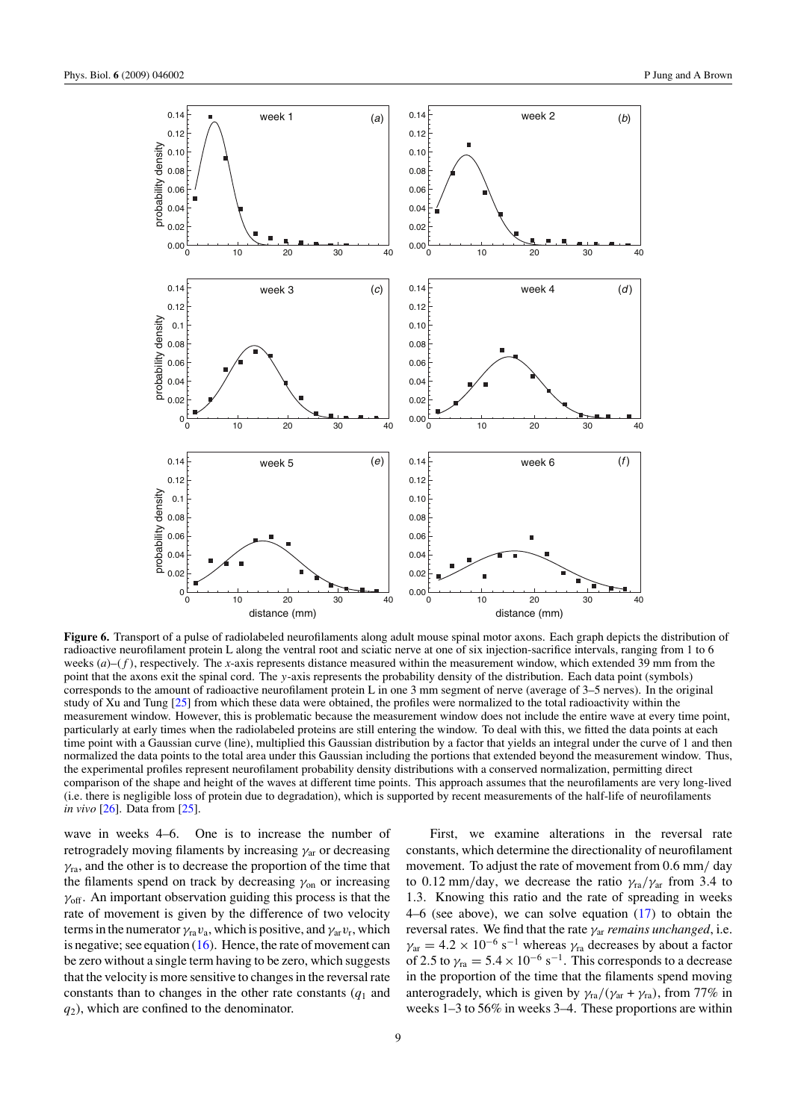<span id="page-8-0"></span>

**Figure 6.** Transport of a pulse of radiolabeled neurofilaments along adult mouse spinal motor axons. Each graph depicts the distribution of radioactive neurofilament protein L along the ventral root and sciatic nerve at one of six injection-sacrifice intervals, ranging from 1 to 6 weeks  $(a)$ – $(f)$ , respectively. The *x*-axis represents distance measured within the measurement window, which extended 39 mm from the point that the axons exit the spinal cord. The *y*-axis represents the probability density of the distribution. Each data point (symbols) corresponds to the amount of radioactive neurofilament protein L in one 3 mm segment of nerve (average of 3–5 nerves). In the original study of Xu and Tung [\[25\]](#page-14-0) from which these data were obtained, the profiles were normalized to the total radioactivity within the measurement window. However, this is problematic because the measurement window does not include the entire wave at every time point, particularly at early times when the radiolabeled proteins are still entering the window. To deal with this, we fitted the data points at each time point with a Gaussian curve (line), multiplied this Gaussian distribution by a factor that yields an integral under the curve of 1 and then normalized the data points to the total area under this Gaussian including the portions that extended beyond the measurement window. Thus, the experimental profiles represent neurofilament probability density distributions with a conserved normalization, permitting direct comparison of the shape and height of the waves at different time points. This approach assumes that the neurofilaments are very long-lived (i.e. there is negligible loss of protein due to degradation), which is supported by recent measurements of the half-life of neurofilaments *in vivo* [\[26](#page-14-0)]. Data from [\[25\]](#page-14-0).

wave in weeks 4–6. One is to increase the number of retrogradely moving filaments by increasing *γ*ar or decreasing  $\gamma_{\text{ra}}$ , and the other is to decrease the proportion of the time that the filaments spend on track by decreasing  $\gamma_{on}$  or increasing *γ*off. An important observation guiding this process is that the rate of movement is given by the difference of two velocity terms in the numerator  $\gamma_{ra}v_a$ , which is positive, and  $\gamma_{ar}v_r$ , which is negative; see equation  $(16)$ . Hence, the rate of movement can be zero without a single term having to be zero, which suggests that the velocity is more sensitive to changes in the reversal rate constants than to changes in the other rate constants  $(q_1)$  and *q*2), which are confined to the denominator.

First, we examine alterations in the reversal rate constants, which determine the directionality of neurofilament movement. To adjust the rate of movement from 0*.*6 mm*/* day to 0.12 mm/day, we decrease the ratio  $\gamma_{\text{ra}}/\gamma_{\text{ar}}$  from 3.4 to 1*.*3. Knowing this ratio and the rate of spreading in weeks 4–6 (see above), we can solve equation  $(17)$  to obtain the reversal rates. We find that the rate *γ*ar *remains unchanged*, i.e.  $\gamma_{\text{ar}} = 4.2 \times 10^{-6} \text{ s}^{-1}$  whereas  $\gamma_{\text{ra}}$  decreases by about a factor of 2.5 to  $\gamma_{\text{ra}} = 5.4 \times 10^{-6} \text{ s}^{-1}$ . This corresponds to a decrease in the proportion of the time that the filaments spend moving anterogradely, which is given by  $\gamma_{\text{ra}}/(\gamma_{\text{ar}} + \gamma_{\text{ra}})$ , from 77% in weeks 1–3 to 56% in weeks 3–4. These proportions are within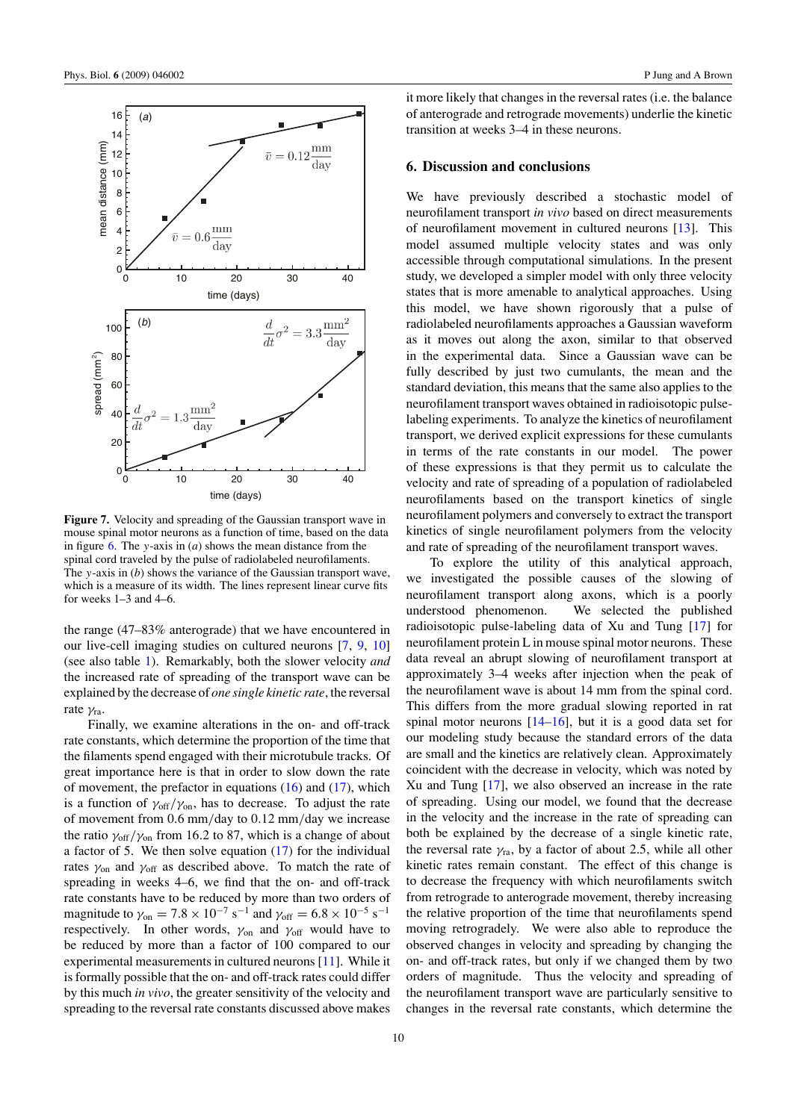<span id="page-9-0"></span>

**Figure 7.** Velocity and spreading of the Gaussian transport wave in mouse spinal motor neurons as a function of time, based on the data in figure [6.](#page-8-0) The *y*-axis in (*a*) shows the mean distance from the spinal cord traveled by the pulse of radiolabeled neurofilaments. The *y*-axis in (*b*) shows the variance of the Gaussian transport wave, which is a measure of its width. The lines represent linear curve fits for weeks  $1-3$  and  $4-6$ .

the range (47–83% anterograde) that we have encountered in our live-cell imaging studies on cultured neurons [\[7](#page-14-0), [9](#page-14-0), [10\]](#page-14-0) (see also table [1\)](#page-1-0). Remarkably, both the slower velocity *and* the increased rate of spreading of the transport wave can be explained by the decrease of *one single kinetic rate*, the reversal rate *γ*ra.

Finally, we examine alterations in the on- and off-track rate constants, which determine the proportion of the time that the filaments spend engaged with their microtubule tracks. Of great importance here is that in order to slow down the rate of movement, the prefactor in equations  $(16)$  and  $(17)$ , which is a function of  $\gamma_{\text{off}}/\gamma_{\text{on}}$ , has to decrease. To adjust the rate of movement from 0*.*6 mm*/*day to 0*.*12 mm*/*day we increase the ratio  $\gamma_{\text{off}}/\gamma_{\text{on}}$  from 16.2 to 87, which is a change of about a factor of 5. We then solve equation [\(17\)](#page-6-0) for the individual rates *γ*on and *γ*off as described above. To match the rate of spreading in weeks 4–6, we find that the on- and off-track rate constants have to be reduced by more than two orders of magnitude to  $\gamma_{on} = 7.8 \times 10^{-7} \text{ s}^{-1}$  and  $\gamma_{off} = 6.8 \times 10^{-5} \text{ s}^{-1}$ respectively. In other words,  $\gamma_{on}$  and  $\gamma_{off}$  would have to be reduced by more than a factor of 100 compared to our experimental measurements in cultured neurons [\[11](#page-14-0)]. While it is formally possible that the on- and off-track rates could differ by this much *in vivo*, the greater sensitivity of the velocity and spreading to the reversal rate constants discussed above makes

it more likely that changes in the reversal rates (i.e. the balance of anterograde and retrograde movements) underlie the kinetic transition at weeks 3–4 in these neurons.

## **6. Discussion and conclusions**

We have previously described a stochastic model of neurofilament transport *in vivo* based on direct measurements of neurofilament movement in cultured neurons [\[13\]](#page-14-0). This model assumed multiple velocity states and was only accessible through computational simulations. In the present study, we developed a simpler model with only three velocity states that is more amenable to analytical approaches. Using this model, we have shown rigorously that a pulse of radiolabeled neurofilaments approaches a Gaussian waveform as it moves out along the axon, similar to that observed in the experimental data. Since a Gaussian wave can be fully described by just two cumulants, the mean and the standard deviation, this means that the same also applies to the neurofilament transport waves obtained in radioisotopic pulselabeling experiments. To analyze the kinetics of neurofilament transport, we derived explicit expressions for these cumulants in terms of the rate constants in our model. The power of these expressions is that they permit us to calculate the velocity and rate of spreading of a population of radiolabeled neurofilaments based on the transport kinetics of single neurofilament polymers and conversely to extract the transport kinetics of single neurofilament polymers from the velocity and rate of spreading of the neurofilament transport waves.

To explore the utility of this analytical approach, we investigated the possible causes of the slowing of neurofilament transport along axons, which is a poorly understood phenomenon. We selected the published radioisotopic pulse-labeling data of Xu and Tung [\[17\]](#page-14-0) for neurofilament protein L in mouse spinal motor neurons. These data reveal an abrupt slowing of neurofilament transport at approximately 3–4 weeks after injection when the peak of the neurofilament wave is about 14 mm from the spinal cord. This differs from the more gradual slowing reported in rat spinal motor neurons  $[14–16]$  $[14–16]$ , but it is a good data set for our modeling study because the standard errors of the data are small and the kinetics are relatively clean. Approximately coincident with the decrease in velocity, which was noted by Xu and Tung [\[17](#page-14-0)], we also observed an increase in the rate of spreading. Using our model, we found that the decrease in the velocity and the increase in the rate of spreading can both be explained by the decrease of a single kinetic rate, the reversal rate  $\gamma_{ra}$ , by a factor of about 2.5, while all other kinetic rates remain constant. The effect of this change is to decrease the frequency with which neurofilaments switch from retrograde to anterograde movement, thereby increasing the relative proportion of the time that neurofilaments spend moving retrogradely. We were also able to reproduce the observed changes in velocity and spreading by changing the on- and off-track rates, but only if we changed them by two orders of magnitude. Thus the velocity and spreading of the neurofilament transport wave are particularly sensitive to changes in the reversal rate constants, which determine the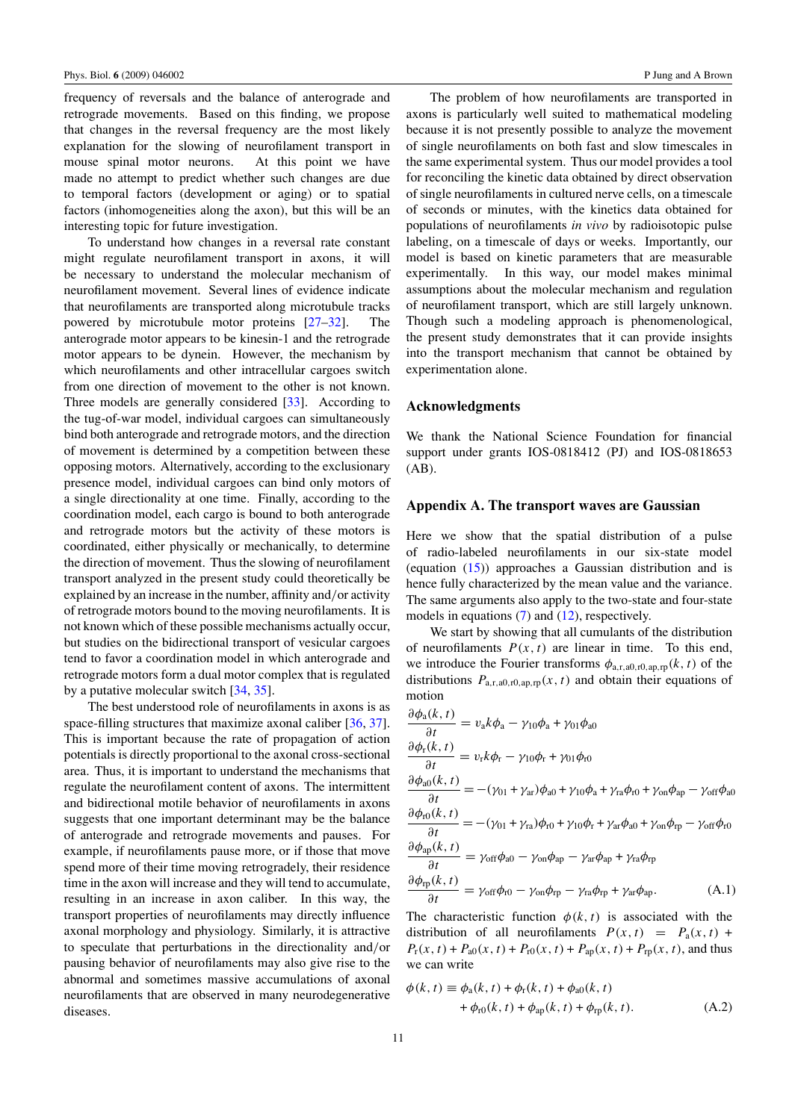<span id="page-10-0"></span>frequency of reversals and the balance of anterograde and retrograde movements. Based on this finding, we propose that changes in the reversal frequency are the most likely explanation for the slowing of neurofilament transport in mouse spinal motor neurons. At this point we have made no attempt to predict whether such changes are due to temporal factors (development or aging) or to spatial factors (inhomogeneities along the axon), but this will be an interesting topic for future investigation.

To understand how changes in a reversal rate constant might regulate neurofilament transport in axons, it will be necessary to understand the molecular mechanism of neurofilament movement. Several lines of evidence indicate that neurofilaments are transported along microtubule tracks powered by microtubule motor proteins [\[27–32](#page-14-0)]. The anterograde motor appears to be kinesin-1 and the retrograde motor appears to be dynein. However, the mechanism by which neurofilaments and other intracellular cargoes switch from one direction of movement to the other is not known. Three models are generally considered [\[33\]](#page-14-0). According to the tug-of-war model, individual cargoes can simultaneously bind both anterograde and retrograde motors, and the direction of movement is determined by a competition between these opposing motors. Alternatively, according to the exclusionary presence model, individual cargoes can bind only motors of a single directionality at one time. Finally, according to the coordination model, each cargo is bound to both anterograde and retrograde motors but the activity of these motors is coordinated, either physically or mechanically, to determine the direction of movement. Thus the slowing of neurofilament transport analyzed in the present study could theoretically be explained by an increase in the number, affinity and*/*or activity of retrograde motors bound to the moving neurofilaments. It is not known which of these possible mechanisms actually occur, but studies on the bidirectional transport of vesicular cargoes tend to favor a coordination model in which anterograde and retrograde motors form a dual motor complex that is regulated by a putative molecular switch [\[34,](#page-14-0) [35\]](#page-14-0).

The best understood role of neurofilaments in axons is as space-filling structures that maximize axonal caliber [\[36](#page-14-0), [37](#page-14-0)]. This is important because the rate of propagation of action potentials is directly proportional to the axonal cross-sectional area. Thus, it is important to understand the mechanisms that regulate the neurofilament content of axons. The intermittent and bidirectional motile behavior of neurofilaments in axons suggests that one important determinant may be the balance of anterograde and retrograde movements and pauses. For example, if neurofilaments pause more, or if those that move spend more of their time moving retrogradely, their residence time in the axon will increase and they will tend to accumulate, resulting in an increase in axon caliber. In this way, the transport properties of neurofilaments may directly influence axonal morphology and physiology. Similarly, it is attractive to speculate that perturbations in the directionality and*/*or pausing behavior of neurofilaments may also give rise to the abnormal and sometimes massive accumulations of axonal neurofilaments that are observed in many neurodegenerative diseases.

The problem of how neurofilaments are transported in axons is particularly well suited to mathematical modeling because it is not presently possible to analyze the movement of single neurofilaments on both fast and slow timescales in the same experimental system. Thus our model provides a tool for reconciling the kinetic data obtained by direct observation of single neurofilaments in cultured nerve cells, on a timescale of seconds or minutes, with the kinetics data obtained for populations of neurofilaments *in vivo* by radioisotopic pulse labeling, on a timescale of days or weeks. Importantly, our model is based on kinetic parameters that are measurable experimentally. In this way, our model makes minimal assumptions about the molecular mechanism and regulation of neurofilament transport, which are still largely unknown. Though such a modeling approach is phenomenological, the present study demonstrates that it can provide insights into the transport mechanism that cannot be obtained by experimentation alone.

#### **Acknowledgments**

We thank the National Science Foundation for financial support under grants IOS-0818412 (PJ) and IOS-0818653 (AB).

#### **Appendix A. The transport waves are Gaussian**

Here we show that the spatial distribution of a pulse of radio-labeled neurofilaments in our six-state model (equation [\(15\)](#page-5-0)) approaches a Gaussian distribution and is hence fully characterized by the mean value and the variance. The same arguments also apply to the two-state and four-state models in equations [\(7\)](#page-3-0) and [\(12\)](#page-4-0), respectively.

We start by showing that all cumulants of the distribution of neurofilaments  $P(x, t)$  are linear in time. To this end, we introduce the Fourier transforms  $\phi_{a,r,a0,r0,a,p,rp}(k, t)$  of the distributions  $P_{a,r,a0,r0,a,p,p}(x, t)$  and obtain their equations of motion

$$
\frac{\partial \phi_a(k,t)}{\partial t} = v_a k \phi_a - \gamma_{10} \phi_a + \gamma_{01} \phi_{a0}
$$
\n
$$
\frac{\partial \phi_r(k,t)}{\partial t} = v_r k \phi_r - \gamma_{10} \phi_r + \gamma_{01} \phi_{r0}
$$
\n
$$
\frac{\partial \phi_{a0}(k,t)}{\partial t} = -(\gamma_{01} + \gamma_{ar}) \phi_{a0} + \gamma_{10} \phi_a + \gamma_{ra} \phi_{r0} + \gamma_{on} \phi_{ap} - \gamma_{off} \phi_{a0}
$$
\n
$$
\frac{\partial \phi_{r0}(k,t)}{\partial t} = -(\gamma_{01} + \gamma_{ra}) \phi_{r0} + \gamma_{10} \phi_r + \gamma_{ar} \phi_{a0} + \gamma_{on} \phi_{rp} - \gamma_{off} \phi_{r0}
$$
\n
$$
\frac{\partial \phi_{ap}(k,t)}{\partial t} = \gamma_{off} \phi_{a0} - \gamma_{on} \phi_{ap} - \gamma_{ar} \phi_{ap} + \gamma_{ra} \phi_{rp}
$$
\n
$$
\frac{\partial \phi_{rp}(k,t)}{\partial t} = \gamma_{off} \phi_{r0} - \gamma_{on} \phi_{rp} - \gamma_{ra} \phi_{rp} + \gamma_{ar} \phi_{ap}.
$$
\n(A.1)

The characteristic function  $\phi(k, t)$  is associated with the distribution of all neurofilaments  $P(x, t) = P_a(x, t) +$  $P_r(x, t) + P_{a0}(x, t) + P_{r0}(x, t) + P_{ap}(x, t) + P_{rp}(x, t)$ , and thus we can write

$$
\phi(k, t) \equiv \phi_a(k, t) + \phi_r(k, t) + \phi_{a0}(k, t) + \phi_{r0}(k, t) + \phi_{ap}(k, t) + \phi_{rp}(k, t).
$$
 (A.2)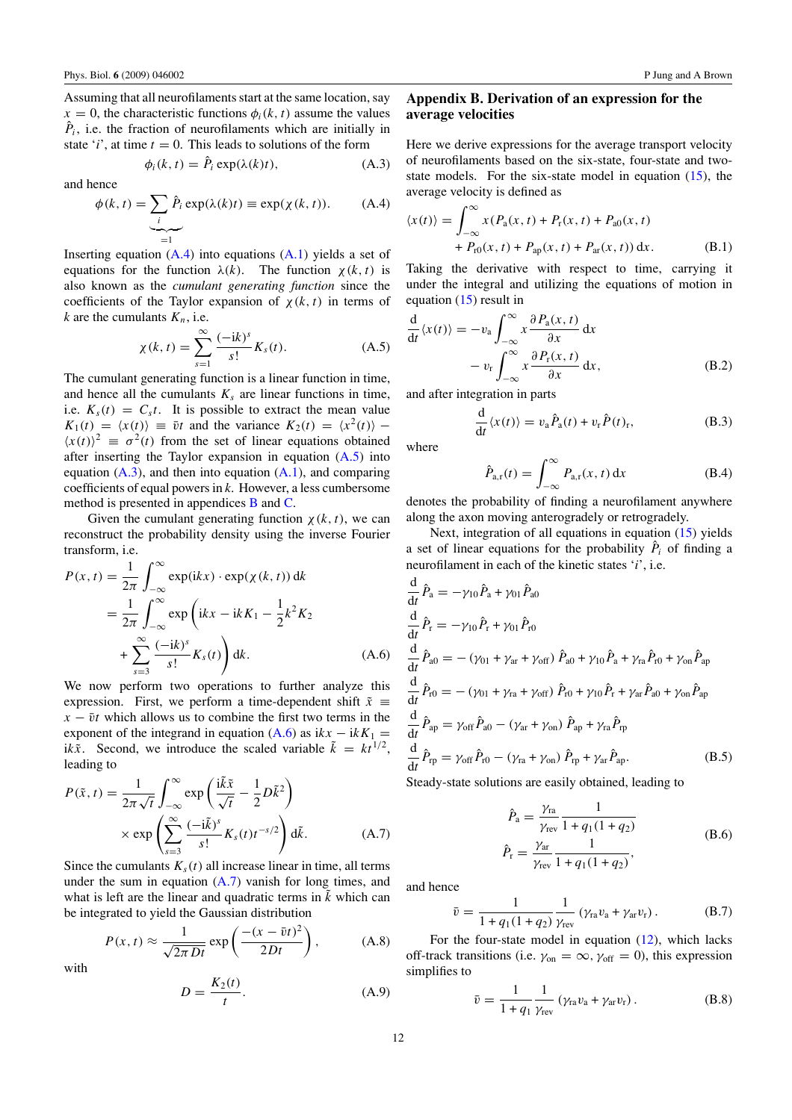<span id="page-11-0"></span>Assuming that all neurofilaments start at the same location, say  $x = 0$ , the characteristic functions  $\phi_i(k, t)$  assume the values  $\hat{P}_i$ , i.e. the fraction of neurofilaments which are initially in state '*i*', at time  $t = 0$ . This leads to solutions of the form

$$
\phi_i(k, t) = \hat{P}_i \exp(\lambda(k)t), \qquad (A.3)
$$

and hence

$$
\phi(k, t) = \sum_{i} \hat{P}_i \exp(\lambda(k)t) \equiv \exp(\chi(k, t)). \tag{A.4}
$$

Inserting equation  $(A.4)$  into equations  $(A.1)$  yields a set of equations for the function  $\lambda(k)$ . The function  $\chi(k, t)$  is also known as the *cumulant generating function* since the coefficients of the Taylor expansion of  $\chi(k, t)$  in terms of *k* are the cumulants  $K_n$ , i.e.

$$
\chi(k, t) = \sum_{s=1}^{\infty} \frac{(-ik)^s}{s!} K_s(t).
$$
 (A.5)

The cumulant generating function is a linear function in time, and hence all the cumulants  $K<sub>s</sub>$  are linear functions in time, i.e.  $K_s(t) = C_s t$ . It is possible to extract the mean value  $K_1(t) = \langle x(t) \rangle \equiv \bar{v}t$  and the variance  $K_2(t) = \langle x^2(t) \rangle - \langle x^2(t) \rangle$  $\langle x(t) \rangle^2 \equiv \sigma^2(t)$  from the set of linear equations obtained after inserting the Taylor expansion in equation (A.5) into equation  $(A.3)$ , and then into equation  $(A.1)$ , and comparing coefficients of equal powers in *k*. However, a less cumbersome method is presented in appendices B and [C.](#page-12-0)

Given the cumulant generating function  $\chi(k, t)$ , we can reconstruct the probability density using the inverse Fourier transform, i.e.

$$
P(x,t) = \frac{1}{2\pi} \int_{-\infty}^{\infty} \exp(ikx) \cdot \exp(\chi(k,t)) dk
$$
  
= 
$$
\frac{1}{2\pi} \int_{-\infty}^{\infty} \exp\left(ikx - ikK_1 - \frac{1}{2}k^2K_2 + \sum_{s=3}^{\infty} \frac{(-ik)^s}{s!} K_s(t)\right) dk.
$$
 (A.6)

We now perform two operations to further analyze this expression. First, we perform a time-dependent shift  $\tilde{x}$  $x - \bar{v}t$  which allows us to combine the first two terms in the exponent of the integrand in equation (A.6) as  $ikx - ikK_1 =$ ik $\tilde{x}$ . Second, we introduce the scaled variable  $\tilde{k} = kt^{1/2}$ , leading to

$$
P(\tilde{x}, t) = \frac{1}{2\pi\sqrt{t}} \int_{-\infty}^{\infty} \exp\left(\frac{\mathrm{i}\tilde{k}\tilde{x}}{\sqrt{t}} - \frac{1}{2}D\tilde{k}^{2}\right)
$$

$$
\times \exp\left(\sum_{s=3}^{\infty} \frac{(-\mathrm{i}\tilde{k})^{s}}{s!} K_{s}(t)t^{-s/2}\right) \mathrm{d}\tilde{k}.
$$
 (A.7)

Since the cumulants  $K<sub>s</sub>(t)$  all increase linear in time, all terms under the sum in equation  $(A.7)$  vanish for long times, and what is left are the linear and quadratic terms in  $\tilde{k}$  which can be integrated to yield the Gaussian distribution

$$
P(x,t) \approx \frac{1}{\sqrt{2\pi Dt}} \exp\left(\frac{-(x-\bar{v}t)^2}{2Dt}\right),\tag{A.8}
$$

with

$$
D = \frac{K_2(t)}{t}.\tag{A.9}
$$

## **Appendix B. Derivation of an expression for the average velocities**

Here we derive expressions for the average transport velocity of neurofilaments based on the six-state, four-state and twostate models. For the six-state model in equation  $(15)$ , the average velocity is defined as

$$
\langle x(t) \rangle = \int_{-\infty}^{\infty} x(P_a(x, t) + P_r(x, t) + P_{a0}(x, t) + P_{r0}(x, t) + P_{r0}(x, t) + P_{ar}(x, t)) dx.
$$
 (B.1)

Taking the derivative with respect to time, carrying it under the integral and utilizing the equations of motion in equation [\(15\)](#page-5-0) result in

$$
\frac{d}{dt}\langle x(t)\rangle = -v_a \int_{-\infty}^{\infty} x \frac{\partial P_a(x, t)}{\partial x} dx \n- v_r \int_{-\infty}^{\infty} x \frac{\partial P_r(x, t)}{\partial x} dx,
$$
\n(B.2)

and after integration in parts

$$
\frac{d}{dt}\langle x(t)\rangle = v_a \hat{P}_a(t) + v_r \hat{P}(t)_r,
$$
\n(B.3)

where

$$
\hat{P}_{\mathbf{a},\mathbf{r}}(t) = \int_{-\infty}^{\infty} P_{\mathbf{a},\mathbf{r}}(x,t) \, \mathrm{d}x \tag{B.4}
$$

denotes the probability of finding a neurofilament anywhere along the axon moving anterogradely or retrogradely.

Next, integration of all equations in equation [\(15\)](#page-5-0) yields a set of linear equations for the probability  $\hat{P}_i$  of finding a neurofilament in each of the kinetic states '*i*', i.e.

$$
\frac{d}{dt}\hat{P}_a = -\gamma_{10}\hat{P}_a + \gamma_{01}\hat{P}_{a0} \n\frac{d}{dt}\hat{P}_r = -\gamma_{10}\hat{P}_r + \gamma_{01}\hat{P}_{r0} \n\frac{d}{dt}\hat{P}_{a0} = -(\gamma_{01} + \gamma_{ar} + \gamma_{off})\hat{P}_{a0} + \gamma_{10}\hat{P}_a + \gamma_{ra}\hat{P}_{r0} + \gamma_{on}\hat{P}_{ap} \n\frac{d}{dt}\hat{P}_{r0} = -(\gamma_{01} + \gamma_{ra} + \gamma_{off})\hat{P}_{r0} + \gamma_{10}\hat{P}_r + \gamma_{ar}\hat{P}_{a0} + \gamma_{on}\hat{P}_{ap} \n\frac{d}{dt}\hat{P}_{ap} = \gamma_{off}\hat{P}_{a0} - (\gamma_{ar} + \gamma_{on})\hat{P}_{ap} + \gamma_{ra}\hat{P}_{rp} \n\frac{d}{dt}\hat{P}_{rp} = \gamma_{off}\hat{P}_{r0} - (\gamma_{ra} + \gamma_{on})\hat{P}_{rp} + \gamma_{ar}\hat{P}_{ap}.
$$
\n(B.5)

Steady-state solutions are easily obtained, leading to

$$
\hat{P}_{\rm a} = \frac{\gamma_{\rm ra}}{\gamma_{\rm rev}} \frac{1}{1 + q_1 (1 + q_2)} \n\hat{P}_{\rm r} = \frac{\gamma_{\rm ar}}{\gamma_{\rm rev}} \frac{1}{1 + q_1 (1 + q_2)},
$$
\n(B.6)

and hence

$$
\bar{v} = \frac{1}{1 + q_1(1 + q_2)} \frac{1}{\gamma_{\text{rev}}} \left( \gamma_{\text{ra}} v_a + \gamma_{\text{ar}} v_r \right). \tag{B.7}
$$

For the four-state model in equation [\(12\)](#page-4-0), which lacks off-track transitions (i.e.  $\gamma_{on} = \infty$ ,  $\gamma_{off} = 0$ ), this expression simplifies to

$$
\bar{v} = \frac{1}{1+q_1} \frac{1}{\gamma_{\text{rev}}} \left( \gamma_{\text{ra}} v_a + \gamma_{\text{ar}} v_{\text{r}} \right). \tag{B.8}
$$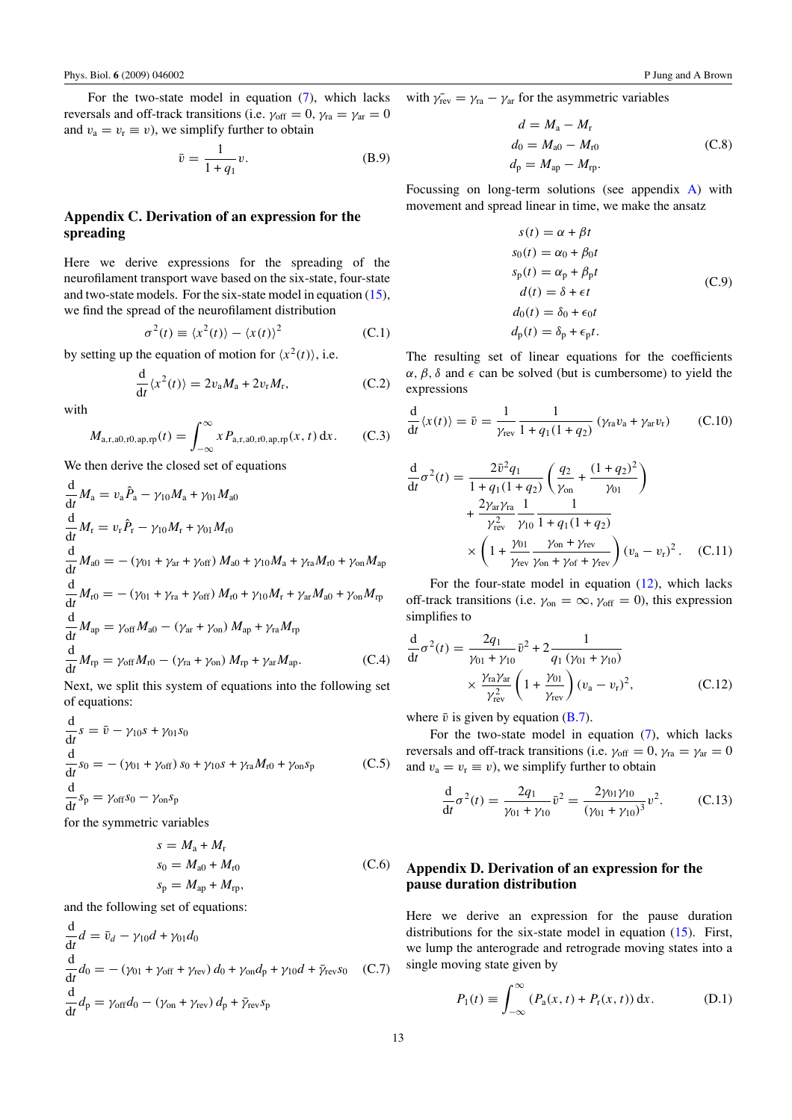<span id="page-12-0"></span>For the two-state model in equation [\(7\)](#page-3-0), which lacks reversals and off-track transitions (i.e.  $\gamma_{\text{off}} = 0$ ,  $\gamma_{\text{ra}} = \gamma_{\text{ar}} = 0$ and  $v_a = v_r \equiv v$ , we simplify further to obtain

$$
\bar{v} = \frac{1}{1 + q_1} v.
$$
 (B.9)

## **Appendix C. Derivation of an expression for the spreading**

Here we derive expressions for the spreading of the neurofilament transport wave based on the six-state, four-state and two-state models. For the six-state model in equation [\(15\)](#page-5-0), we find the spread of the neurofilament distribution

$$
\sigma^{2}(t) \equiv \langle x^{2}(t) \rangle - \langle x(t) \rangle^{2}
$$
 (C.1)

by setting up the equation of motion for  $\langle x^2(t) \rangle$ , i.e.

$$
\frac{\mathrm{d}}{\mathrm{d}t} \langle x^2(t) \rangle = 2v_a M_a + 2v_r M_r,\tag{C.2}
$$

with

$$
M_{a,r,a0,r0,a p,rp}(t) = \int_{-\infty}^{\infty} x P_{a,r,a0,r0,a p,rp}(x,t) \, dx. \tag{C.3}
$$

We then derive the closed set of equations

$$
\frac{d}{dt}M_{a} = v_{a}\hat{P}_{a} - \gamma_{10}M_{a} + \gamma_{01}M_{a0} \n\frac{d}{dt}M_{r} = v_{r}\hat{P}_{r} - \gamma_{10}M_{r} + \gamma_{01}M_{r0} \n\frac{d}{dt}M_{a0} = -(\gamma_{01} + \gamma_{ar} + \gamma_{off}) M_{a0} + \gamma_{10}M_{a} + \gamma_{ra}M_{r0} + \gamma_{on}M_{ap} \n\frac{d}{dt}M_{r0} = -(\gamma_{01} + \gamma_{ra} + \gamma_{off}) M_{r0} + \gamma_{10}M_{r} + \gamma_{ar}M_{a0} + \gamma_{on}M_{rp} \n\frac{d}{dt}M_{ap} = \gamma_{off}M_{a0} - (\gamma_{ar} + \gamma_{on}) M_{ap} + \gamma_{ra}M_{rp} \n\frac{d}{dt}M_{rp} = \gamma_{off}M_{r0} - (\gamma_{ra} + \gamma_{on}) M_{rp} + \gamma_{ar}M_{ap}.
$$
\n(C.4)

Next, we split this system of equations into the following set of equations:

$$
\frac{d}{dt}s = \bar{v} - \gamma_{10}s + \gamma_{01}s_0
$$
\n
$$
\frac{d}{dt}s_0 = -(\gamma_{01} + \gamma_{off})s_0 + \gamma_{10}s + \gamma_{ra}M_{r0} + \gamma_{on}s_p
$$
\n(C.5)\n
$$
\frac{d}{dt}s_p = \gamma_{off}s_0 - \gamma_{on}s_p
$$

for the symmetric variables

$$
s = M_{a} + M_{r}
$$
  
\n
$$
s_{0} = M_{a0} + M_{r0}
$$
  
\n
$$
s_{p} = M_{ap} + M_{rp},
$$
  
\n(C.6)

and the following set of equations:

$$
\frac{d}{dt}d = \bar{v}_d - \gamma_{10}d + \gamma_{01}d_0
$$
\n
$$
\frac{d}{dt}d_0 = -(\gamma_{01} + \gamma_{\text{off}} + \gamma_{\text{rev}}) d_0 + \gamma_{\text{on}}d_p + \gamma_{10}d + \bar{\gamma}_{\text{rev}}s_0 \quad (C.7)
$$
\n
$$
\frac{d}{dt}d_p = \gamma_{\text{off}}d_0 - (\gamma_{\text{on}} + \gamma_{\text{rev}}) d_p + \bar{\gamma}_{\text{rev}}s_p
$$

with  $\bar{\gamma}_{rev} = \gamma_{ra} - \gamma_{ar}$  for the asymmetric variables

$$
d = M_{a} - M_{r}
$$
  
\n
$$
d_{0} = M_{a0} - M_{r0}
$$
  
\n
$$
d_{p} = M_{ap} - M_{rp}.
$$
\n(C.8)

Focussing on long-term solutions (see appendix [A\)](#page-10-0) with movement and spread linear in time, we make the ansatz

$$
s(t) = \alpha + \beta t
$$
  
\n
$$
s_0(t) = \alpha_0 + \beta_0 t
$$
  
\n
$$
s_p(t) = \alpha_p + \beta_p t
$$
  
\n
$$
d(t) = \delta + \epsilon t
$$
  
\n
$$
d_0(t) = \delta_0 + \epsilon_0 t
$$
  
\n
$$
d_p(t) = \delta_p + \epsilon_p t.
$$
\n(C.9)

The resulting set of linear equations for the coefficients  $\alpha$ ,  $\beta$ ,  $\delta$  and  $\epsilon$  can be solved (but is cumbersome) to yield the expressions

$$
\frac{\mathrm{d}}{\mathrm{d}t} \langle x(t) \rangle = \bar{v} = \frac{1}{\gamma_{\text{rev}}} \frac{1}{1 + q_1 (1 + q_2)} \left( \gamma_{\text{ra}} v_{\text{a}} + \gamma_{\text{ar}} v_{\text{r}} \right) \tag{C.10}
$$

$$
\frac{d}{dt}\sigma^{2}(t) = \frac{2\bar{v}^{2}q_{1}}{1+q_{1}(1+q_{2})}\left(\frac{q_{2}}{\gamma_{\text{on}}} + \frac{(1+q_{2})^{2}}{\gamma_{01}}\right) + \frac{2\gamma_{\text{ar}}\gamma_{\text{ra}}}{\gamma_{\text{rev}}^{2}}\frac{1}{\gamma_{10}}\frac{1}{1+q_{1}(1+q_{2})} \times \left(1+\frac{\gamma_{01}}{\gamma_{\text{rev}}}\frac{\gamma_{\text{on}}+\gamma_{\text{rev}}}{\gamma_{\text{on}}+\gamma_{\text{of}}+\gamma_{\text{rev}}}\right)(v_{\text{a}}-v_{\text{r}})^{2}. \quad (C.11)
$$

For the four-state model in equation  $(12)$ , which lacks off-track transitions (i.e.  $\gamma_{on} = \infty$ ,  $\gamma_{off} = 0$ ), this expression simplifies to

$$
\frac{d}{dt}\sigma^{2}(t) = \frac{2q_{1}}{\gamma_{01} + \gamma_{10}}\bar{v}^{2} + 2\frac{1}{q_{1}(\gamma_{01} + \gamma_{10})}\n\times \frac{\gamma_{\text{ra}}\gamma_{\text{ar}}}{\gamma_{\text{rev}}^{2}}\left(1 + \frac{\gamma_{01}}{\gamma_{\text{rev}}}\right)(v_{\text{a}} - v_{\text{r}})^{2},
$$
\n(C.12)

where  $\bar{v}$  is given by equation [\(B.7\)](#page-11-0).

For the two-state model in equation  $(7)$ , which lacks reversals and off-track transitions (i.e.  $\gamma_{\text{off}} = 0$ ,  $\gamma_{\text{ra}} = \gamma_{\text{ar}} = 0$ and  $v_a = v_r \equiv v$ , we simplify further to obtain

$$
\frac{d}{dt}\sigma^2(t) = \frac{2q_1}{\gamma_{01} + \gamma_{10}}\bar{v}^2 = \frac{2\gamma_{01}\gamma_{10}}{(\gamma_{01} + \gamma_{10})^3}v^2.
$$
 (C.13)

## **Appendix D. Derivation of an expression for the pause duration distribution**

Here we derive an expression for the pause duration distributions for the six-state model in equation [\(15\)](#page-5-0). First, we lump the anterograde and retrograde moving states into a single moving state given by

$$
P_1(t) \equiv \int_{-\infty}^{\infty} (P_a(x, t) + P_r(x, t)) \, dx. \tag{D.1}
$$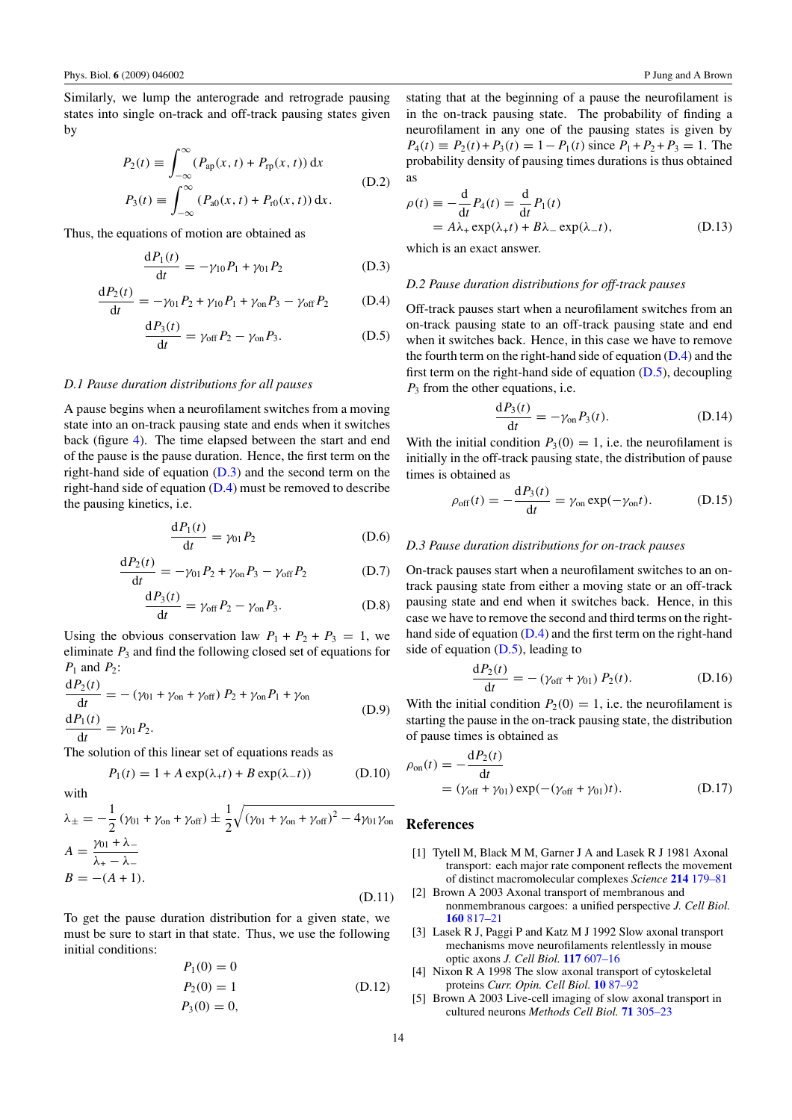<span id="page-13-0"></span>Similarly, we lump the anterograde and retrograde pausing states into single on-track and off-track pausing states given by

$$
P_2(t) \equiv \int_{-\infty}^{\infty} (P_{ap}(x, t) + P_{rp}(x, t)) dx
$$
  
\n
$$
P_3(t) \equiv \int_{-\infty}^{\infty} (P_{a0}(x, t) + P_{r0}(x, t)) dx.
$$
\n(D.2)

Thus, the equations of motion are obtained as

$$
\frac{dP_1(t)}{dt} = -\gamma_{10}P_1 + \gamma_{01}P_2
$$
 (D.3)

$$
\frac{dP_2(t)}{dt} = -\gamma_{01}P_2 + \gamma_{10}P_1 + \gamma_{0n}P_3 - \gamma_{off}P_2 \tag{D.4}
$$

$$
\frac{\mathrm{d}P_3(t)}{\mathrm{d}t} = \gamma_{\text{off}} P_2 - \gamma_{\text{on}} P_3. \tag{D.5}
$$

## *D.1 Pause duration distributions for all pauses*

A pause begins when a neurofilament switches from a moving state into an on-track pausing state and ends when it switches back (figure [4\)](#page-5-0). The time elapsed between the start and end of the pause is the pause duration. Hence, the first term on the right-hand side of equation  $(D.3)$  and the second term on the right-hand side of equation  $(D.4)$  must be removed to describe the pausing kinetics, i.e.

$$
\frac{\mathrm{d}P_1(t)}{\mathrm{d}t} = \gamma_{01} P_2 \tag{D.6}
$$

$$
\frac{dP_2(t)}{dt} = -\gamma_{01}P_2 + \gamma_{0n}P_3 - \gamma_{off}P_2
$$
 (D.7)

$$
\frac{\mathrm{d}P_3(t)}{\mathrm{d}t} = \gamma_{\text{off}} P_2 - \gamma_{\text{on}} P_3. \tag{D.8}
$$

Using the obvious conservation law  $P_1 + P_2 + P_3 = 1$ , we eliminate  $P_3$  and find the following closed set of equations for *P*<sub>1</sub> and *P*<sub>2</sub>:

$$
\frac{dP_2(t)}{dt} = -(\gamma_{01} + \gamma_{on} + \gamma_{off}) P_2 + \gamma_{on} P_1 + \gamma_{on}
$$
  
\n
$$
\frac{dP_1(t)}{dt} = \gamma_{01} P_2.
$$
\n(D.9)

The solution of this linear set of equations reads as

$$
P_1(t) = 1 + A \exp(\lambda_+ t) + B \exp(\lambda_- t))
$$
 (D.10)

with

$$
\lambda_{\pm} = -\frac{1}{2} (\gamma_{01} + \gamma_{on} + \gamma_{off}) \pm \frac{1}{2} \sqrt{(\gamma_{01} + \gamma_{on} + \gamma_{off})^2 - 4 \gamma_{01} \gamma_{on}}
$$
  
\n
$$
A = \frac{\gamma_{01} + \lambda_{-}}{\lambda_{+} - \lambda_{-}}
$$
  
\n
$$
B = -(A + 1).
$$
 (D.11)

To get the pause duration distribution for a given state, we must be sure to start in that state. Thus, we use the following initial conditions:

$$
P_1(0) = 0
$$
  
\n
$$
P_2(0) = 1
$$
  
\n
$$
P_3(0) = 0,
$$
  
\n(D.12)

stating that at the beginning of a pause the neurofilament is in the on-track pausing state. The probability of finding a neurofilament in any one of the pausing states is given by  $P_4(t) \equiv P_2(t) + P_3(t) = 1 - P_1(t)$  since  $P_1 + P_2 + P_3 = 1$ . The probability density of pausing times durations is thus obtained as

$$
\rho(t) \equiv -\frac{d}{dt} P_4(t) = \frac{d}{dt} P_1(t)
$$
  
=  $A\lambda_+ \exp(\lambda_+ t) + B\lambda_- \exp(\lambda_- t)$ , (D.13)

which is an exact answer.

## *D.2 Pause duration distributions for off-track pauses*

Off-track pauses start when a neurofilament switches from an on-track pausing state to an off-track pausing state and end when it switches back. Hence, in this case we have to remove the fourth term on the right-hand side of equation  $(D.4)$  and the first term on the right-hand side of equation  $(D.5)$ , decoupling *P*<sup>3</sup> from the other equations, i.e.

$$
\frac{\mathrm{d}P_3(t)}{\mathrm{d}t} = -\gamma_{\text{on}} P_3(t). \tag{D.14}
$$

With the initial condition  $P_3(0) = 1$ , i.e. the neurofilament is initially in the off-track pausing state, the distribution of pause times is obtained as

$$
\rho_{\text{off}}(t) = -\frac{\mathrm{d}P_3(t)}{\mathrm{d}t} = \gamma_{\text{on}} \exp(-\gamma_{\text{on}}t). \tag{D.15}
$$

#### *D.3 Pause duration distributions for on-track pauses*

On-track pauses start when a neurofilament switches to an ontrack pausing state from either a moving state or an off-track pausing state and end when it switches back. Hence, in this case we have to remove the second and third terms on the righthand side of equation (D.4) and the first term on the right-hand side of equation  $(D.5)$ , leading to

$$
\frac{dP_2(t)}{dt} = - (\gamma_{\text{off}} + \gamma_{01}) P_2(t). \tag{D.16}
$$

With the initial condition  $P_2(0) = 1$ , i.e. the neurofilament is starting the pause in the on-track pausing state, the distribution of pause times is obtained as

$$
\rho_{on}(t) = -\frac{dP_2(t)}{dt}
$$
  
=  $(\gamma_{off} + \gamma_{01}) \exp(-(\gamma_{off} + \gamma_{01})t).$  (D.17)

## **References**

- [1] Tytell M, Black M M, Garner J A and Lasek R J 1981 Axonal transport: each major rate component reflects the movement of distinct macromolecular complexes *Science* **214** [179–81](http://dx.doi.org/10.1126/science.6169148)
- [2] Brown A 2003 Axonal transport of membranous and nonmembranous cargoes: a unified perspective *J. Cell Biol.* **160** [817–21](http://dx.doi.org/10.1083/jcb.200212017)
- [3] Lasek R J, Paggi P and Katz M J 1992 Slow axonal transport mechanisms move neurofilaments relentlessly in mouse optic axons *J. Cell Biol.* **117** [607–16](http://dx.doi.org/10.1083/jcb.117.3.607)
- [4] Nixon R A 1998 The slow axonal transport of cytoskeletal proteins *Curr. Opin. Cell Biol.* **10** [87–92](http://dx.doi.org/10.1016/S0955-0674(98)80090-2)
- [5] Brown A 2003 Live-cell imaging of slow axonal transport in cultured neurons *Methods Cell Biol.* **71** [305–23](http://dx.doi.org/10.1016/S0091-679X(03)01014-8)